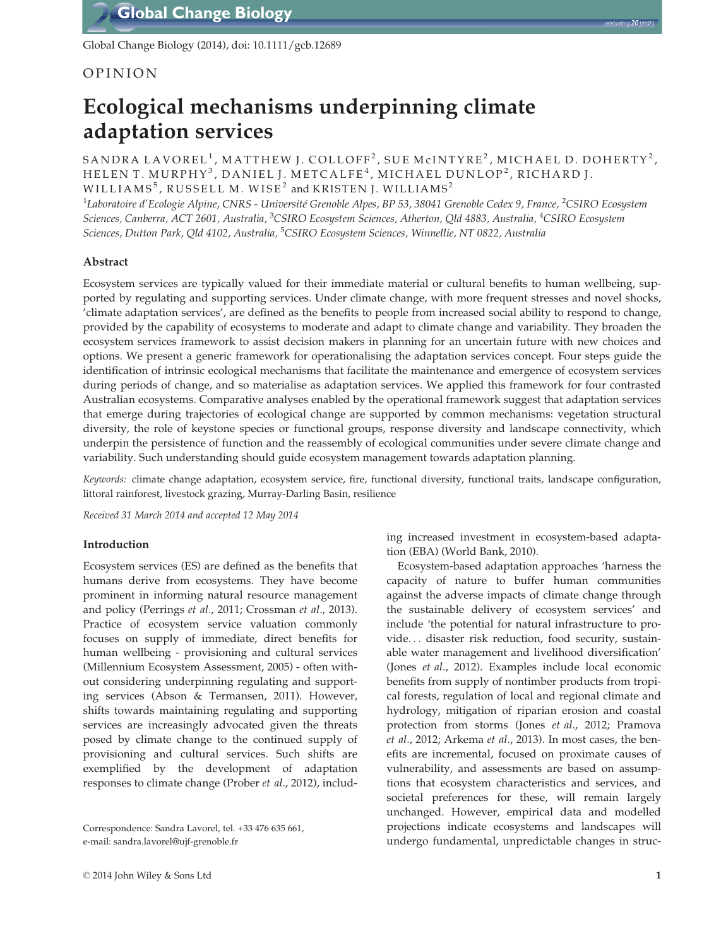Global Change Biology (2014), doi: 10.1111/gcb.12689

# OPINION

# Ecological mechanisms underpinning climate adaptation services

SANDRA LAVOREL<sup>1</sup>, MATTHEW J. COLLOFF<sup>2</sup>, SUE McINTYRE<sup>2</sup>, MICHAEL D. DOHERTY<sup>2</sup>, HELEN T. MURPHY<sup>3</sup>, DANIEL J. METCALFE<sup>4</sup>, MICHAEL DUNLOP<sup>2</sup>, RICHARD J. WILLIAMS<sup>5</sup>, RUSSELL M. WISE<sup>2</sup> and KRISTEN J. WILLIAMS<sup>2</sup>

 $^1$ Laboratoire d'Ecologie Alpine, CNRS - Université Grenoble Alpes, BP 53, 38041 Grenoble Cedex 9, France,  $^2$ CSIRO Ecosystem Sciences, Canberra, ACT 2601, Australia, <sup>3</sup>CSIRO Ecosystem Sciences, Atherton, Qld 4883, Australia, <sup>4</sup>CSIRO Ecosystem Sciences, Dutton Park, Qld 4102, Australia, <sup>5</sup>CSIRO Ecosystem Sciences, Winnellie, NT 0822, Australia

# Abstract

Ecosystem services are typically valued for their immediate material or cultural benefits to human wellbeing, supported by regulating and supporting services. Under climate change, with more frequent stresses and novel shocks, 'climate adaptation services', are defined as the benefits to people from increased social ability to respond to change, provided by the capability of ecosystems to moderate and adapt to climate change and variability. They broaden the ecosystem services framework to assist decision makers in planning for an uncertain future with new choices and options. We present a generic framework for operationalising the adaptation services concept. Four steps guide the identification of intrinsic ecological mechanisms that facilitate the maintenance and emergence of ecosystem services during periods of change, and so materialise as adaptation services. We applied this framework for four contrasted Australian ecosystems. Comparative analyses enabled by the operational framework suggest that adaptation services that emerge during trajectories of ecological change are supported by common mechanisms: vegetation structural diversity, the role of keystone species or functional groups, response diversity and landscape connectivity, which underpin the persistence of function and the reassembly of ecological communities under severe climate change and variability. Such understanding should guide ecosystem management towards adaptation planning.

Keywords: climate change adaptation, ecosystem service, fire, functional diversity, functional traits, landscape configuration, littoral rainforest, livestock grazing, Murray-Darling Basin, resilience

Received 31 March 2014 and accepted 12 May 2014

## Introduction

Ecosystem services (ES) are defined as the benefits that humans derive from ecosystems. They have become prominent in informing natural resource management and policy (Perrings et al., 2011; Crossman et al., 2013). Practice of ecosystem service valuation commonly focuses on supply of immediate, direct benefits for human wellbeing - provisioning and cultural services (Millennium Ecosystem Assessment, 2005) - often without considering underpinning regulating and supporting services (Abson & Termansen, 2011). However, shifts towards maintaining regulating and supporting services are increasingly advocated given the threats posed by climate change to the continued supply of provisioning and cultural services. Such shifts are exemplified by the development of adaptation responses to climate change (Prober et al., 2012), includ-

Correspondence: Sandra Lavorel, tel. +33 476 635 661, e-mail: sandra.lavorel@ujf-grenoble.fr

ing increased investment in ecosystem-based adaptation (EBA) (World Bank, 2010).

Ecosystem-based adaptation approaches 'harness the capacity of nature to buffer human communities against the adverse impacts of climate change through the sustainable delivery of ecosystem services' and include 'the potential for natural infrastructure to provide... disaster risk reduction, food security, sustainable water management and livelihood diversification' (Jones et al., 2012). Examples include local economic benefits from supply of nontimber products from tropical forests, regulation of local and regional climate and hydrology, mitigation of riparian erosion and coastal protection from storms (Jones et al., 2012; Pramova et al., 2012; Arkema et al., 2013). In most cases, the benefits are incremental, focused on proximate causes of vulnerability, and assessments are based on assumptions that ecosystem characteristics and services, and societal preferences for these, will remain largely unchanged. However, empirical data and modelled projections indicate ecosystems and landscapes will undergo fundamental, unpredictable changes in struc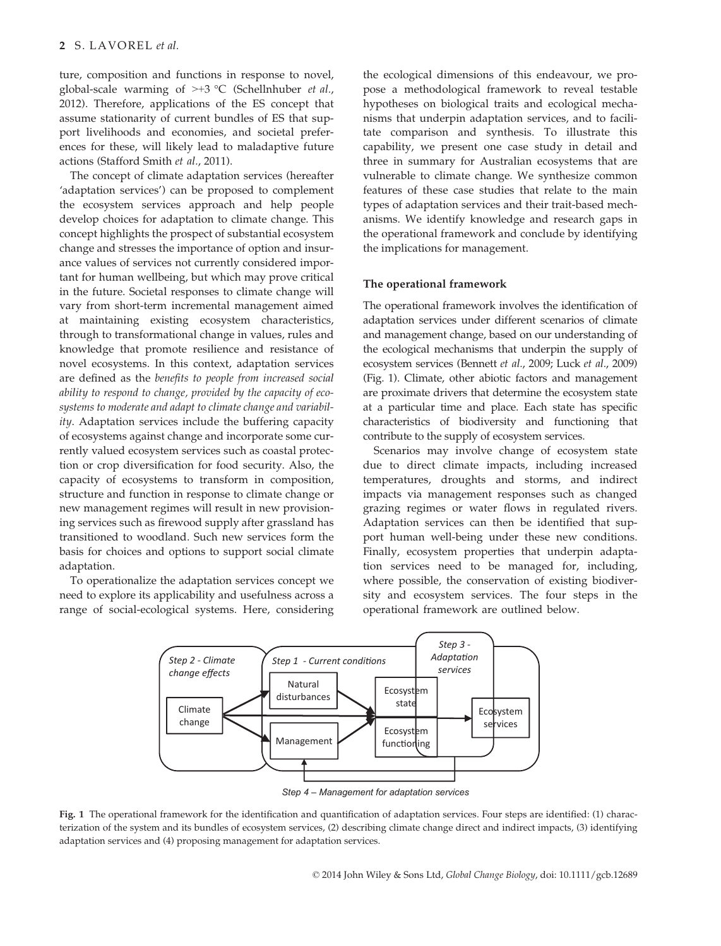ture, composition and functions in response to novel, global-scale warming of  $\geq +3$  °C (Schellnhuber et al., 2012). Therefore, applications of the ES concept that assume stationarity of current bundles of ES that support livelihoods and economies, and societal preferences for these, will likely lead to maladaptive future actions (Stafford Smith et al., 2011).

The concept of climate adaptation services (hereafter 'adaptation services') can be proposed to complement the ecosystem services approach and help people develop choices for adaptation to climate change. This concept highlights the prospect of substantial ecosystem change and stresses the importance of option and insurance values of services not currently considered important for human wellbeing, but which may prove critical in the future. Societal responses to climate change will vary from short-term incremental management aimed at maintaining existing ecosystem characteristics, through to transformational change in values, rules and knowledge that promote resilience and resistance of novel ecosystems. In this context, adaptation services are defined as the benefits to people from increased social ability to respond to change, provided by the capacity of ecosystems to moderate and adapt to climate change and variability. Adaptation services include the buffering capacity of ecosystems against change and incorporate some currently valued ecosystem services such as coastal protection or crop diversification for food security. Also, the capacity of ecosystems to transform in composition, structure and function in response to climate change or new management regimes will result in new provisioning services such as firewood supply after grassland has transitioned to woodland. Such new services form the basis for choices and options to support social climate adaptation.

To operationalize the adaptation services concept we need to explore its applicability and usefulness across a range of social-ecological systems. Here, considering the ecological dimensions of this endeavour, we propose a methodological framework to reveal testable hypotheses on biological traits and ecological mechanisms that underpin adaptation services, and to facilitate comparison and synthesis. To illustrate this capability, we present one case study in detail and three in summary for Australian ecosystems that are vulnerable to climate change. We synthesize common features of these case studies that relate to the main types of adaptation services and their trait-based mechanisms. We identify knowledge and research gaps in the operational framework and conclude by identifying the implications for management.

#### The operational framework

The operational framework involves the identification of adaptation services under different scenarios of climate and management change, based on our understanding of the ecological mechanisms that underpin the supply of ecosystem services (Bennett et al., 2009; Luck et al., 2009) (Fig. 1). Climate, other abiotic factors and management are proximate drivers that determine the ecosystem state at a particular time and place. Each state has specific characteristics of biodiversity and functioning that contribute to the supply of ecosystem services.

Scenarios may involve change of ecosystem state due to direct climate impacts, including increased temperatures, droughts and storms, and indirect impacts via management responses such as changed grazing regimes or water flows in regulated rivers. Adaptation services can then be identified that support human well-being under these new conditions. Finally, ecosystem properties that underpin adaptation services need to be managed for, including, where possible, the conservation of existing biodiversity and ecosystem services. The four steps in the operational framework are outlined below.



*Step 4 – Management for adaptation services*

Fig. 1 The operational framework for the identification and quantification of adaptation services. Four steps are identified: (1) characterization of the system and its bundles of ecosystem services, (2) describing climate change direct and indirect impacts, (3) identifying adaptation services and (4) proposing management for adaptation services.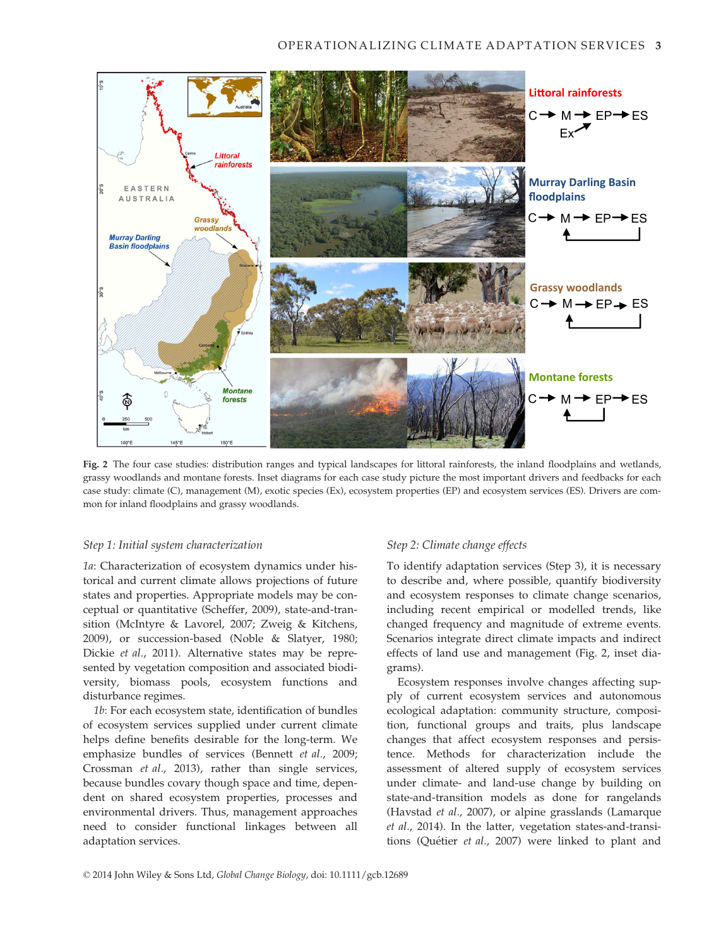

Fig. 2 The four case studies: distribution ranges and typical landscapes for littoral rainforests, the inland floodplains and wetlands, grassy woodlands and montane forests. Inset diagrams for each case study picture the most important drivers and feedbacks for each case study: climate (C), management (M), exotic species (Ex), ecosystem properties (EP) and ecosystem services (ES). Drivers are common for inland floodplains and grassy woodlands.

## Step 1: Initial system characterization

1a: Characterization of ecosystem dynamics under historical and current climate allows projections of future states and properties. Appropriate models may be conceptual or quantitative (Scheffer, 2009), state-and-transition (McIntyre & Lavorel, 2007; Zweig & Kitchens, 2009), or succession-based (Noble & Slatyer, 1980; Dickie et al., 2011). Alternative states may be represented by vegetation composition and associated biodiversity, biomass pools, ecosystem functions and disturbance regimes.

1b: For each ecosystem state, identification of bundles of ecosystem services supplied under current climate helps define benefits desirable for the long-term. We emphasize bundles of services (Bennett et al., 2009; Crossman et al., 2013), rather than single services, because bundles covary though space and time, dependent on shared ecosystem properties, processes and environmental drivers. Thus, management approaches need to consider functional linkages between all adaptation services.

# Step 2: Climate change effects

To identify adaptation services (Step 3), it is necessary to describe and, where possible, quantify biodiversity and ecosystem responses to climate change scenarios, including recent empirical or modelled trends, like changed frequency and magnitude of extreme events. Scenarios integrate direct climate impacts and indirect effects of land use and management (Fig. 2, inset diagrams).

Ecosystem responses involve changes affecting supply of current ecosystem services and autonomous ecological adaptation: community structure, composition, functional groups and traits, plus landscape changes that affect ecosystem responses and persistence. Methods for characterization include the assessment of altered supply of ecosystem services under climate- and land-use change by building on state-and-transition models as done for rangelands (Havstad et al., 2007), or alpine grasslands (Lamarque et al., 2014). In the latter, vegetation states-and-transitions (Quétier et al., 2007) were linked to plant and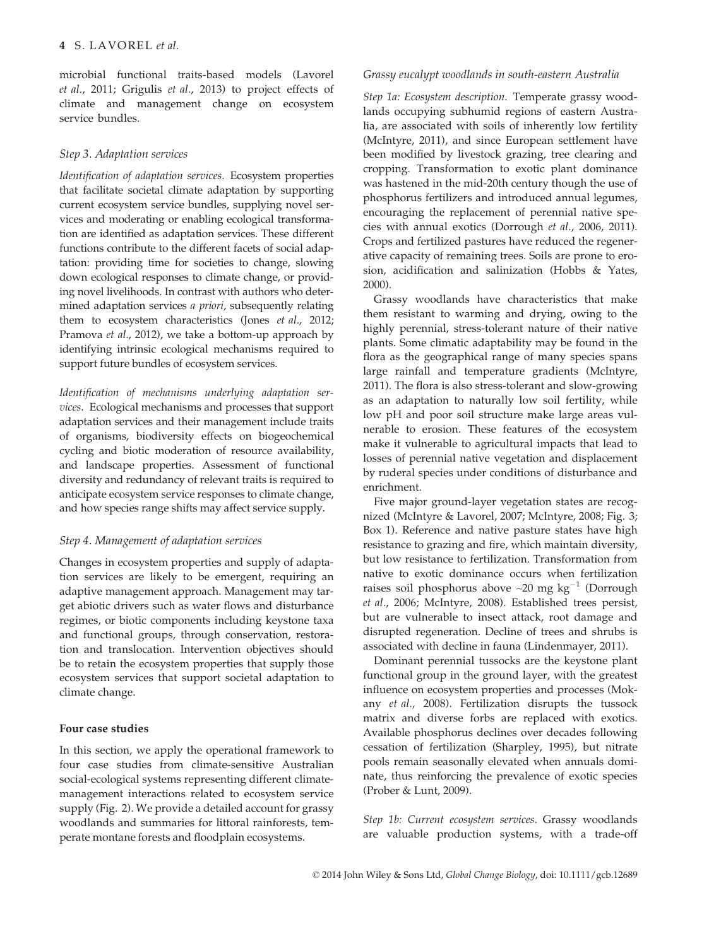microbial functional traits-based models (Lavorel et al., 2011; Grigulis et al., 2013) to project effects of climate and management change on ecosystem service bundles.

## Step 3. Adaptation services

Identification of adaptation services. Ecosystem properties that facilitate societal climate adaptation by supporting current ecosystem service bundles, supplying novel services and moderating or enabling ecological transformation are identified as adaptation services. These different functions contribute to the different facets of social adaptation: providing time for societies to change, slowing down ecological responses to climate change, or providing novel livelihoods. In contrast with authors who determined adaptation services a priori, subsequently relating them to ecosystem characteristics (Jones et al., 2012; Pramova et al., 2012), we take a bottom-up approach by identifying intrinsic ecological mechanisms required to support future bundles of ecosystem services.

Identification of mechanisms underlying adaptation services. Ecological mechanisms and processes that support adaptation services and their management include traits of organisms, biodiversity effects on biogeochemical cycling and biotic moderation of resource availability, and landscape properties. Assessment of functional diversity and redundancy of relevant traits is required to anticipate ecosystem service responses to climate change, and how species range shifts may affect service supply.

#### Step 4. Management of adaptation services

Changes in ecosystem properties and supply of adaptation services are likely to be emergent, requiring an adaptive management approach. Management may target abiotic drivers such as water flows and disturbance regimes, or biotic components including keystone taxa and functional groups, through conservation, restoration and translocation. Intervention objectives should be to retain the ecosystem properties that supply those ecosystem services that support societal adaptation to climate change.

## Four case studies

In this section, we apply the operational framework to four case studies from climate-sensitive Australian social-ecological systems representing different climatemanagement interactions related to ecosystem service supply (Fig. 2). We provide a detailed account for grassy woodlands and summaries for littoral rainforests, temperate montane forests and floodplain ecosystems.

#### Grassy eucalypt woodlands in south-eastern Australia

Step 1a: Ecosystem description. Temperate grassy woodlands occupying subhumid regions of eastern Australia, are associated with soils of inherently low fertility (McIntyre, 2011), and since European settlement have been modified by livestock grazing, tree clearing and cropping. Transformation to exotic plant dominance was hastened in the mid-20th century though the use of phosphorus fertilizers and introduced annual legumes, encouraging the replacement of perennial native species with annual exotics (Dorrough et al., 2006, 2011). Crops and fertilized pastures have reduced the regenerative capacity of remaining trees. Soils are prone to erosion, acidification and salinization (Hobbs & Yates, 2000).

Grassy woodlands have characteristics that make them resistant to warming and drying, owing to the highly perennial, stress-tolerant nature of their native plants. Some climatic adaptability may be found in the flora as the geographical range of many species spans large rainfall and temperature gradients (McIntyre, 2011). The flora is also stress-tolerant and slow-growing as an adaptation to naturally low soil fertility, while low pH and poor soil structure make large areas vulnerable to erosion. These features of the ecosystem make it vulnerable to agricultural impacts that lead to losses of perennial native vegetation and displacement by ruderal species under conditions of disturbance and enrichment.

Five major ground-layer vegetation states are recognized (McIntyre & Lavorel, 2007; McIntyre, 2008; Fig. 3; Box 1). Reference and native pasture states have high resistance to grazing and fire, which maintain diversity, but low resistance to fertilization. Transformation from native to exotic dominance occurs when fertilization raises soil phosphorus above  $\sim 20$  mg kg<sup>-1</sup> (Dorrough et al., 2006; McIntyre, 2008). Established trees persist, but are vulnerable to insect attack, root damage and disrupted regeneration. Decline of trees and shrubs is associated with decline in fauna (Lindenmayer, 2011).

Dominant perennial tussocks are the keystone plant functional group in the ground layer, with the greatest influence on ecosystem properties and processes (Mokany et al., 2008). Fertilization disrupts the tussock matrix and diverse forbs are replaced with exotics. Available phosphorus declines over decades following cessation of fertilization (Sharpley, 1995), but nitrate pools remain seasonally elevated when annuals dominate, thus reinforcing the prevalence of exotic species (Prober & Lunt, 2009).

Step 1b: Current ecosystem services. Grassy woodlands are valuable production systems, with a trade-off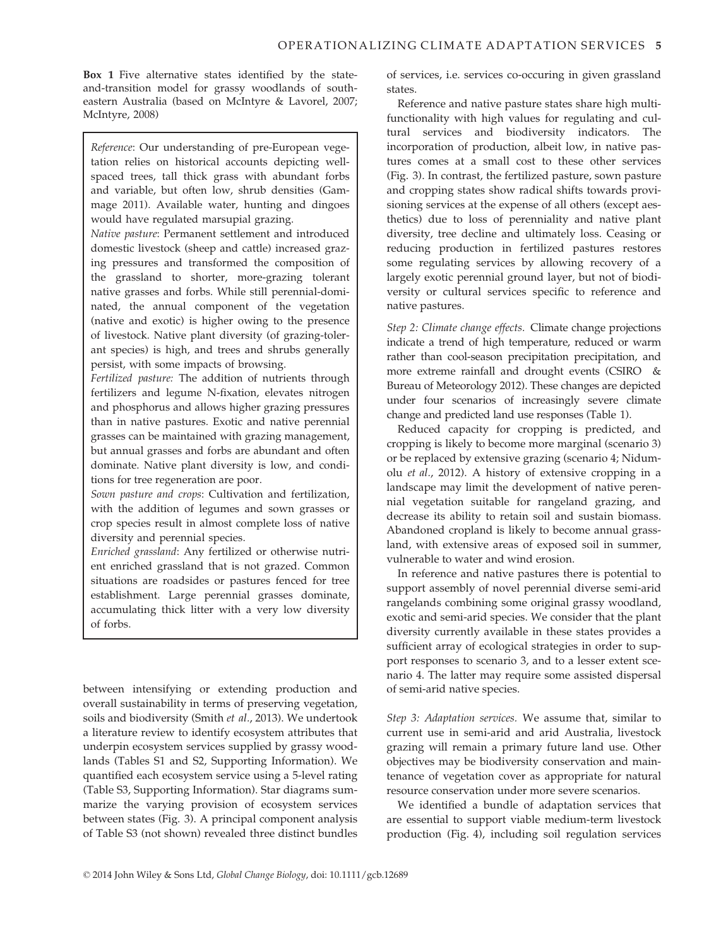Box 1 Five alternative states identified by the stateand-transition model for grassy woodlands of southeastern Australia (based on McIntyre & Lavorel, 2007; McIntyre, 2008)

Reference: Our understanding of pre-European vegetation relies on historical accounts depicting wellspaced trees, tall thick grass with abundant forbs and variable, but often low, shrub densities (Gammage 2011). Available water, hunting and dingoes would have regulated marsupial grazing.

Native pasture: Permanent settlement and introduced domestic livestock (sheep and cattle) increased grazing pressures and transformed the composition of the grassland to shorter, more-grazing tolerant native grasses and forbs. While still perennial-dominated, the annual component of the vegetation (native and exotic) is higher owing to the presence of livestock. Native plant diversity (of grazing-tolerant species) is high, and trees and shrubs generally persist, with some impacts of browsing.

Fertilized pasture: The addition of nutrients through fertilizers and legume N-fixation, elevates nitrogen and phosphorus and allows higher grazing pressures than in native pastures. Exotic and native perennial grasses can be maintained with grazing management, but annual grasses and forbs are abundant and often dominate. Native plant diversity is low, and conditions for tree regeneration are poor.

Sown pasture and crops: Cultivation and fertilization, with the addition of legumes and sown grasses or crop species result in almost complete loss of native diversity and perennial species.

Enriched grassland: Any fertilized or otherwise nutrient enriched grassland that is not grazed. Common situations are roadsides or pastures fenced for tree establishment. Large perennial grasses dominate, accumulating thick litter with a very low diversity of forbs.

between intensifying or extending production and overall sustainability in terms of preserving vegetation, soils and biodiversity (Smith et al., 2013). We undertook a literature review to identify ecosystem attributes that underpin ecosystem services supplied by grassy woodlands (Tables S1 and S2, Supporting Information). We quantified each ecosystem service using a 5-level rating (Table S3, Supporting Information). Star diagrams summarize the varying provision of ecosystem services between states (Fig. 3). A principal component analysis of Table S3 (not shown) revealed three distinct bundles

of services, i.e. services co-occuring in given grassland states.

Reference and native pasture states share high multifunctionality with high values for regulating and cultural services and biodiversity indicators. The incorporation of production, albeit low, in native pastures comes at a small cost to these other services (Fig. 3). In contrast, the fertilized pasture, sown pasture and cropping states show radical shifts towards provisioning services at the expense of all others (except aesthetics) due to loss of perenniality and native plant diversity, tree decline and ultimately loss. Ceasing or reducing production in fertilized pastures restores some regulating services by allowing recovery of a largely exotic perennial ground layer, but not of biodiversity or cultural services specific to reference and native pastures.

Step 2: Climate change effects. Climate change projections indicate a trend of high temperature, reduced or warm rather than cool-season precipitation precipitation, and more extreme rainfall and drought events (CSIRO & Bureau of Meteorology 2012). These changes are depicted under four scenarios of increasingly severe climate change and predicted land use responses (Table 1).

Reduced capacity for cropping is predicted, and cropping is likely to become more marginal (scenario 3) or be replaced by extensive grazing (scenario 4; Nidumolu et al., 2012). A history of extensive cropping in a landscape may limit the development of native perennial vegetation suitable for rangeland grazing, and decrease its ability to retain soil and sustain biomass. Abandoned cropland is likely to become annual grassland, with extensive areas of exposed soil in summer, vulnerable to water and wind erosion.

In reference and native pastures there is potential to support assembly of novel perennial diverse semi-arid rangelands combining some original grassy woodland, exotic and semi-arid species. We consider that the plant diversity currently available in these states provides a sufficient array of ecological strategies in order to support responses to scenario 3, and to a lesser extent scenario 4. The latter may require some assisted dispersal of semi-arid native species.

Step 3: Adaptation services. We assume that, similar to current use in semi-arid and arid Australia, livestock grazing will remain a primary future land use. Other objectives may be biodiversity conservation and maintenance of vegetation cover as appropriate for natural resource conservation under more severe scenarios.

We identified a bundle of adaptation services that are essential to support viable medium-term livestock production (Fig. 4), including soil regulation services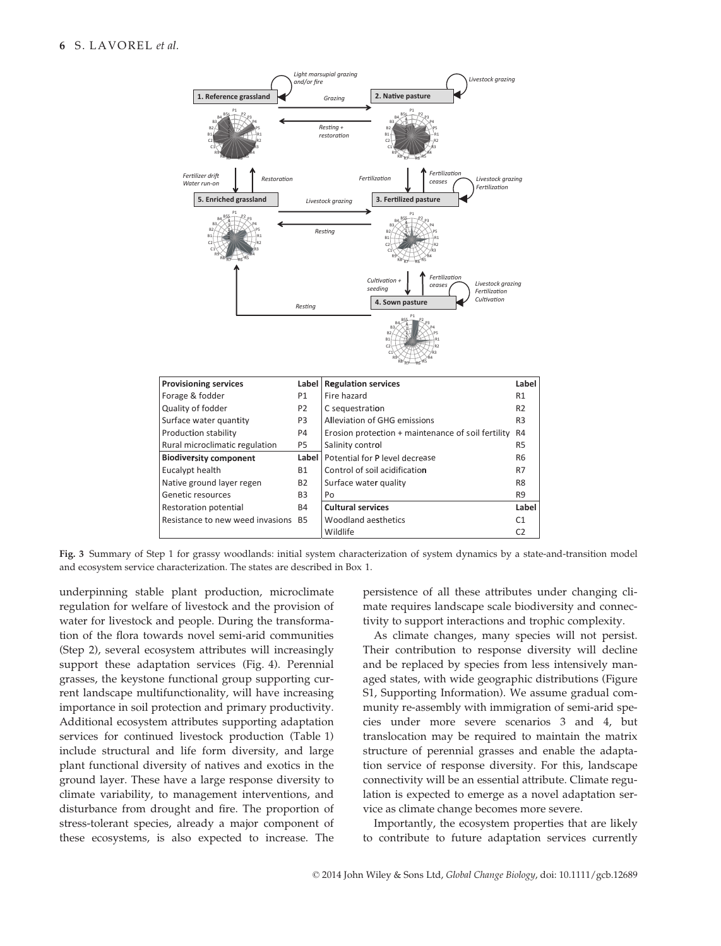

Fig. 3 Summary of Step 1 for grassy woodlands: initial system characterization of system dynamics by a state-and-transition model and ecosystem service characterization. The states are described in Box 1.

underpinning stable plant production, microclimate regulation for welfare of livestock and the provision of water for livestock and people. During the transformation of the flora towards novel semi-arid communities (Step 2), several ecosystem attributes will increasingly support these adaptation services (Fig. 4). Perennial grasses, the keystone functional group supporting current landscape multifunctionality, will have increasing importance in soil protection and primary productivity. Additional ecosystem attributes supporting adaptation services for continued livestock production (Table 1) include structural and life form diversity, and large plant functional diversity of natives and exotics in the ground layer. These have a large response diversity to climate variability, to management interventions, and disturbance from drought and fire. The proportion of stress-tolerant species, already a major component of these ecosystems, is also expected to increase. The

persistence of all these attributes under changing climate requires landscape scale biodiversity and connectivity to support interactions and trophic complexity.

As climate changes, many species will not persist. Their contribution to response diversity will decline and be replaced by species from less intensively managed states, with wide geographic distributions (Figure S1, Supporting Information). We assume gradual community re-assembly with immigration of semi-arid species under more severe scenarios 3 and 4, but translocation may be required to maintain the matrix structure of perennial grasses and enable the adaptation service of response diversity. For this, landscape connectivity will be an essential attribute. Climate regulation is expected to emerge as a novel adaptation service as climate change becomes more severe.

Importantly, the ecosystem properties that are likely to contribute to future adaptation services currently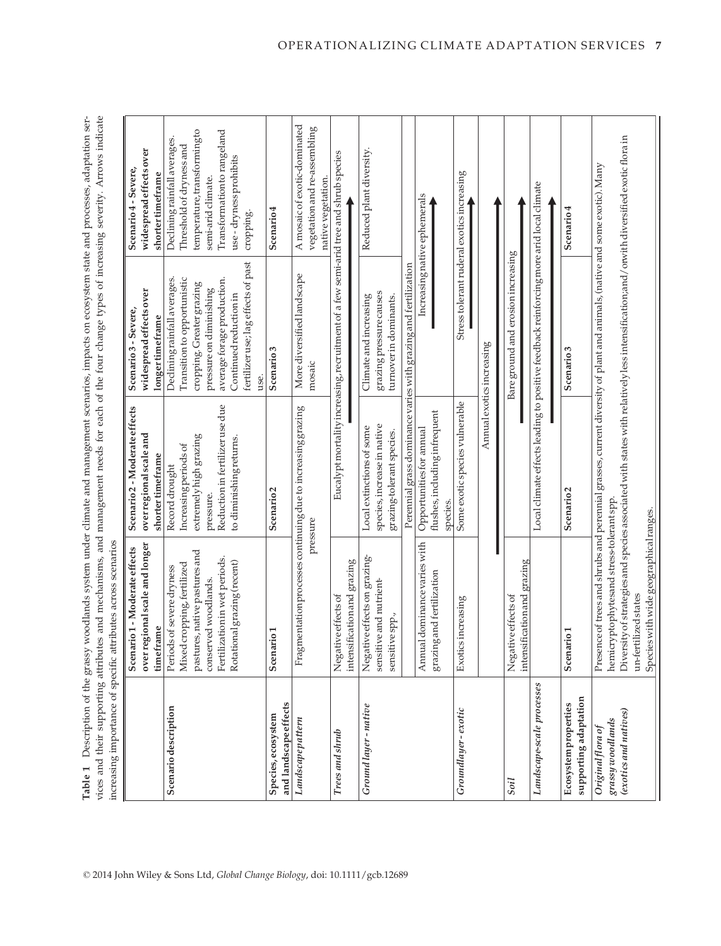| r<br>G                                      |                                                            |                       |
|---------------------------------------------|------------------------------------------------------------|-----------------------|
| )<br>)<br>)                                 | TOWN FTT ANNOTIT                                           |                       |
|                                             | j<br>j                                                     |                       |
|                                             |                                                            |                       |
| ;<br>;                                      |                                                            |                       |
| $\ddotsc$                                   |                                                            |                       |
| no are aleta motorchical in antenne in anno | anagement needs for each of the four change types of incre |                       |
|                                             |                                                            |                       |
|                                             |                                                            |                       |
|                                             |                                                            |                       |
| car one atempted na                         |                                                            | ĉ                     |
|                                             |                                                            |                       |
|                                             |                                                            |                       |
| נז ז                                        | m hes and mechanisms and mi                                | $-1$                  |
|                                             |                                                            | į                     |
| í                                           | i<br>ı                                                     | $\overline{a}$        |
|                                             | l                                                          | i<br>is a contract of |
|                                             | se oo                                                      |                       |

|                                               | increasing importance of specific attributes across scenarios                |                                                                                                                                           |                                                                                        |                                                                      |
|-----------------------------------------------|------------------------------------------------------------------------------|-------------------------------------------------------------------------------------------------------------------------------------------|----------------------------------------------------------------------------------------|----------------------------------------------------------------------|
|                                               | over regional scale and longer<br>Scenario 1 - Moderate effects<br>timeframe | Scenario 2 - Moderate effects<br>over regional scale and<br>shorter timeframe                                                             | widespread effects over<br>Scenario 3 - Severe,<br>longer timeframe                    | widespread effects over<br>Scenario 4 - Severe,<br>shorter timeframe |
| Scenario description                          | Periods of severe dryness                                                    | Record drought                                                                                                                            | Declining rainfall averages.                                                           | Declining rainfall averages.                                         |
|                                               | Mixed cropping, fertilized                                                   | Increasing periods of                                                                                                                     | Transition to opportunistic                                                            | Threshold of dryness and                                             |
|                                               | pastures, native pastures and                                                | extremely high grazing                                                                                                                    | cropping. Greater grazing                                                              | temperature, transforming to                                         |
|                                               | conserved woodlands.                                                         | pressure.                                                                                                                                 | pressure on diminishing                                                                | semi-arid climate.                                                   |
|                                               | Fertilization in wet periods.                                                | Reduction in fertilizer use due                                                                                                           | average forage production.                                                             | Transformation to rangeland                                          |
|                                               | Rotational grazing (recent)                                                  | to diminishing returns.                                                                                                                   | fertilizer use; lag effects of past<br>Continued reduction in                          | use - dryness prohibits<br>cropping.                                 |
|                                               |                                                                              |                                                                                                                                           | use.                                                                                   |                                                                      |
| and landscape effects<br>Species, ecosystem   | Scenario <sub>1</sub>                                                        | Scenario <sub>2</sub>                                                                                                                     | Scenario 3                                                                             | Scenario 4                                                           |
| Landscapepattern                              |                                                                              | Fragmentation processes continuing due to increasing grazing                                                                              | More diversified landscape                                                             | A mosaic of exotic-dominated                                         |
|                                               |                                                                              | pressure                                                                                                                                  | mosaic                                                                                 | vegetation and re-assembling<br>native vegetation.                   |
| Trees and shrub                               | Negative effects of                                                          |                                                                                                                                           | Eucalypt mortality increasing, recruitment of a few semi-arid tree and shrub species   |                                                                      |
|                                               | intensification and grazing                                                  |                                                                                                                                           |                                                                                        |                                                                      |
| Ground layer - native                         | Negative effects on grazing-                                                 | Local extinctions of some                                                                                                                 | Climate and increasing                                                                 | Reduced plant diversity.                                             |
|                                               | sensitive and nutrient-                                                      | species, increase in native                                                                                                               | grazing pressure causes                                                                |                                                                      |
|                                               | sensitive spp.,                                                              | grazing-tolerant species.                                                                                                                 | turnover in dominants.                                                                 |                                                                      |
|                                               |                                                                              |                                                                                                                                           | Perennial grass dominance varies with grazing and fertilization                        |                                                                      |
|                                               | Annual dominance varies with                                                 | Opportunities for annual                                                                                                                  |                                                                                        | Increasing native ephemerals                                         |
|                                               | grazing and fertilization                                                    | flushes, including infrequent                                                                                                             |                                                                                        |                                                                      |
|                                               |                                                                              | species.                                                                                                                                  |                                                                                        |                                                                      |
| Groundlayer-exotic                            | Exotics increasing                                                           | Some exotic species vulnerable                                                                                                            |                                                                                        | Stress tolerant ruderal exotics increasing                           |
|                                               |                                                                              |                                                                                                                                           | Annual exotics increasing                                                              |                                                                      |
| Soil                                          | Negative effects of<br>intensification and grazing                           |                                                                                                                                           | Bare ground and erosion increasing                                                     |                                                                      |
|                                               |                                                                              |                                                                                                                                           |                                                                                        |                                                                      |
| Landscape-scale processes                     |                                                                              |                                                                                                                                           | Local climate effects leading to positive feedback reinforcing more arid local climate |                                                                      |
|                                               |                                                                              |                                                                                                                                           |                                                                                        |                                                                      |
| supporting adaptation<br>Ecosystem properties | Scenario <sub>1</sub>                                                        | Scenario <sub>2</sub>                                                                                                                     | Scenario3                                                                              | Scenario 4                                                           |
| $O$ riginal flora of                          |                                                                              | Presence of trees and shrubs and perennial grasses, current diversity of plant and animals, (native and some exotic). Many                |                                                                                        |                                                                      |
| grassy woodlands                              | hemicryptophytesand stress-tolerant spp.                                     |                                                                                                                                           |                                                                                        |                                                                      |
| (exotics and natives)                         |                                                                              | Diversity of strategies and species associated with states with relatively less intensification; and / orwith diversified exotic flora in |                                                                                        |                                                                      |
|                                               | un-fertilized states                                                         |                                                                                                                                           |                                                                                        |                                                                      |
|                                               | Species with wide geographical ranges.                                       |                                                                                                                                           |                                                                                        |                                                                      |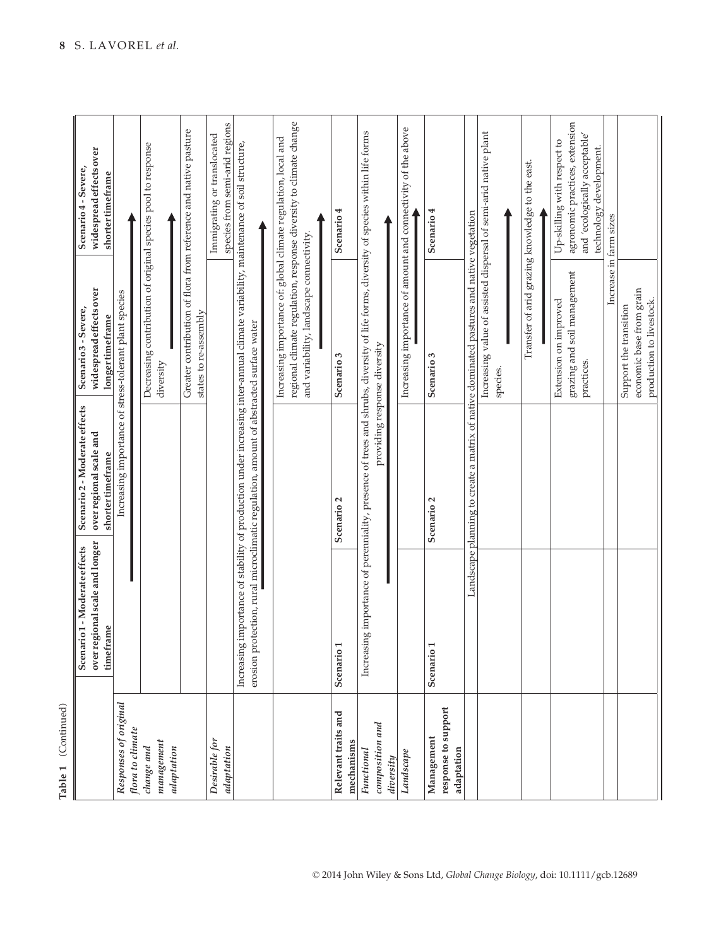| ï                        |
|--------------------------|
| $\ddot{\mathbf{i}}$<br>ì |

|                                                 | Scenario 1 - Moderate effects               | Scenario2 - Moderate effects                                                   | Scenario 3 - Severe,                                                                                                                                                            | Scenario 4 - Severe,                                          |
|-------------------------------------------------|---------------------------------------------|--------------------------------------------------------------------------------|---------------------------------------------------------------------------------------------------------------------------------------------------------------------------------|---------------------------------------------------------------|
|                                                 | over regional scale and longer<br>timeframe | over regional scale and<br>shorter time frame                                  | widespread effects over<br>longertimeframe                                                                                                                                      | widespread effects over<br>shorter timeframe                  |
| Responses of original<br>flora to climate       |                                             | Increasing importance of stress-tolerant plant species                         |                                                                                                                                                                                 |                                                               |
| $mana$ gement<br>change and                     |                                             |                                                                                | Decreasing contribution of original species pool to response<br>diversity                                                                                                       |                                                               |
| adaptation                                      |                                             |                                                                                | Greater contribution of flora from reference and native pasture<br>states to re-assembly                                                                                        |                                                               |
| Desirable for<br>adaptation                     |                                             |                                                                                |                                                                                                                                                                                 | species from semi-arid regions<br>Immigrating or translocated |
|                                                 | erosion                                     | protection, rural microclimatic regulation, amount of abstracted surface water | Increasing importance of stability of production under increasing inter-annual climate variability, maintenance of soil structure,                                              |                                                               |
|                                                 |                                             |                                                                                | regional climate regulation, response diversity to climate change<br>Increasing importance of: global climate regulation, local and<br>and variability, landscape connectivity. |                                                               |
| Relevant traits and<br>mechanisms               | $\frac{1}{2}$<br>Scenari                    | Scenario <sub>2</sub>                                                          | Scenario 3                                                                                                                                                                      | Scenario 4                                                    |
| composition and<br><b>Functional</b>            |                                             | providing response diversity                                                   | Increasing importance of perenniality, presence of trees and shrubs, diversity of life forms, diversity of species within life forms                                            |                                                               |
| Landscape<br>diversity                          |                                             |                                                                                |                                                                                                                                                                                 |                                                               |
|                                                 |                                             |                                                                                | Increasing importance of amount and connectivity of the above                                                                                                                   |                                                               |
| response to support<br>Management<br>adaptation | Scenario 1                                  | N<br>Scenario                                                                  | ω<br>Scenario                                                                                                                                                                   | Scenario 4                                                    |
|                                                 |                                             |                                                                                | Landscape planning to create a matrix of native dominated pastures and native vegetation                                                                                        |                                                               |
|                                                 |                                             |                                                                                | Increasing value of assisted dispersal of semi-arid native plant                                                                                                                |                                                               |
|                                                 |                                             |                                                                                | species.                                                                                                                                                                        |                                                               |
|                                                 |                                             |                                                                                | Transfer of arid grazing knowledge to the east.                                                                                                                                 |                                                               |
|                                                 |                                             |                                                                                |                                                                                                                                                                                 |                                                               |
|                                                 |                                             |                                                                                | grazing and soil management<br>Extension on improved                                                                                                                            | agronomic practices, extension<br>Up-skilling with respect to |
|                                                 |                                             |                                                                                | practices.                                                                                                                                                                      | and 'ecologically acceptable'                                 |
|                                                 |                                             |                                                                                |                                                                                                                                                                                 | technology development.                                       |
|                                                 |                                             |                                                                                | Increase in farm sizes                                                                                                                                                          |                                                               |
|                                                 |                                             |                                                                                | economic base from grain<br>Support the transition                                                                                                                              |                                                               |
|                                                 |                                             |                                                                                | production to livestock.                                                                                                                                                        |                                                               |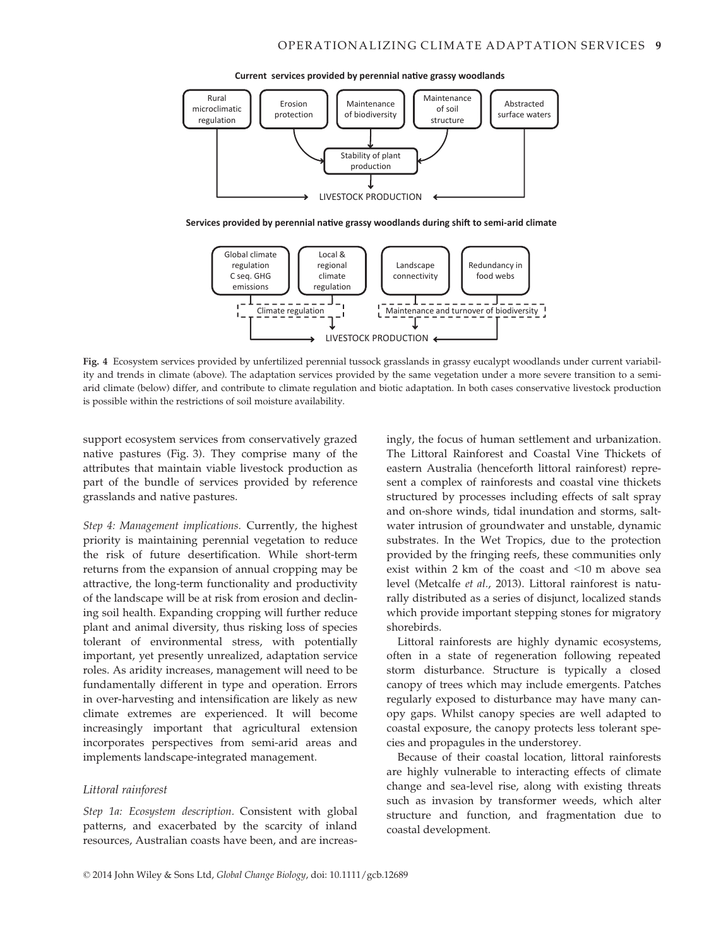![](_page_8_Figure_1.jpeg)

#### **Current services provided by perennial naƟve grassy woodlands**

**Services provided by perennial naƟve grassy woodlands during shiŌ to semi-arid climate**

![](_page_8_Figure_4.jpeg)

Fig. 4 Ecosystem services provided by unfertilized perennial tussock grasslands in grassy eucalypt woodlands under current variability and trends in climate (above). The adaptation services provided by the same vegetation under a more severe transition to a semiarid climate (below) differ, and contribute to climate regulation and biotic adaptation. In both cases conservative livestock production is possible within the restrictions of soil moisture availability.

support ecosystem services from conservatively grazed native pastures (Fig. 3). They comprise many of the attributes that maintain viable livestock production as part of the bundle of services provided by reference grasslands and native pastures.

Step 4: Management implications. Currently, the highest priority is maintaining perennial vegetation to reduce the risk of future desertification. While short-term returns from the expansion of annual cropping may be attractive, the long-term functionality and productivity of the landscape will be at risk from erosion and declining soil health. Expanding cropping will further reduce plant and animal diversity, thus risking loss of species tolerant of environmental stress, with potentially important, yet presently unrealized, adaptation service roles. As aridity increases, management will need to be fundamentally different in type and operation. Errors in over-harvesting and intensification are likely as new climate extremes are experienced. It will become increasingly important that agricultural extension incorporates perspectives from semi-arid areas and implements landscape-integrated management.

#### Littoral rainforest

Step 1a: Ecosystem description. Consistent with global patterns, and exacerbated by the scarcity of inland resources, Australian coasts have been, and are increasingly, the focus of human settlement and urbanization. The Littoral Rainforest and Coastal Vine Thickets of eastern Australia (henceforth littoral rainforest) represent a complex of rainforests and coastal vine thickets structured by processes including effects of salt spray and on-shore winds, tidal inundation and storms, saltwater intrusion of groundwater and unstable, dynamic substrates. In the Wet Tropics, due to the protection provided by the fringing reefs, these communities only exist within 2 km of the coast and <10 m above sea level (Metcalfe et al., 2013). Littoral rainforest is naturally distributed as a series of disjunct, localized stands which provide important stepping stones for migratory shorebirds.

Littoral rainforests are highly dynamic ecosystems, often in a state of regeneration following repeated storm disturbance. Structure is typically a closed canopy of trees which may include emergents. Patches regularly exposed to disturbance may have many canopy gaps. Whilst canopy species are well adapted to coastal exposure, the canopy protects less tolerant species and propagules in the understorey.

Because of their coastal location, littoral rainforests are highly vulnerable to interacting effects of climate change and sea-level rise, along with existing threats such as invasion by transformer weeds, which alter structure and function, and fragmentation due to coastal development.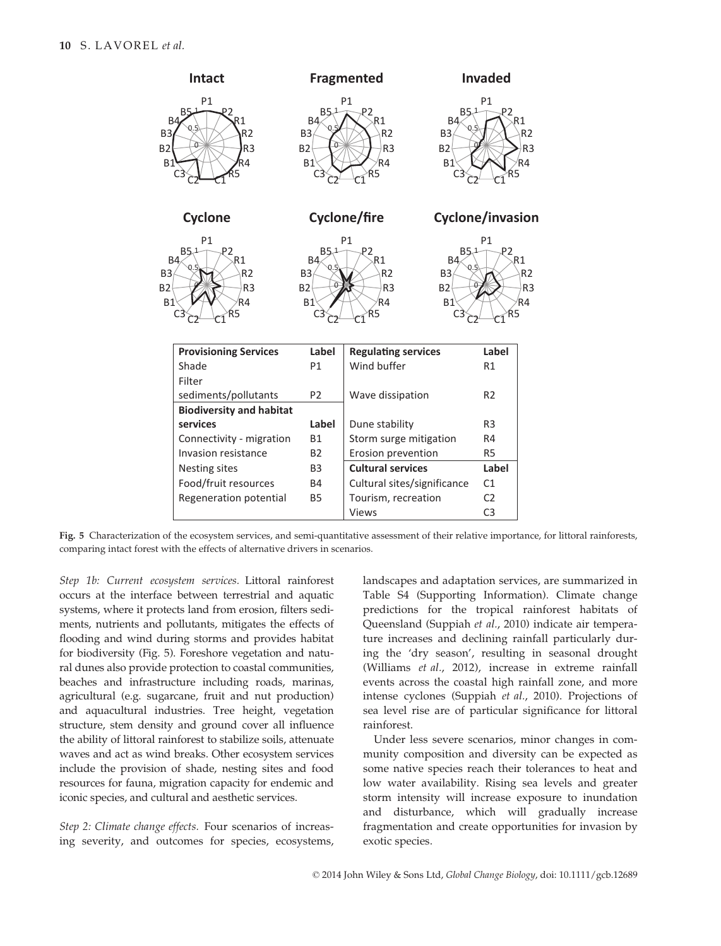![](_page_9_Figure_1.jpeg)

Fig. 5 Characterization of the ecosystem services, and semi-quantitative assessment of their relative importance, for littoral rainforests, comparing intact forest with the effects of alternative drivers in scenarios.

Step 1b: Current ecosystem services. Littoral rainforest occurs at the interface between terrestrial and aquatic systems, where it protects land from erosion, filters sediments, nutrients and pollutants, mitigates the effects of flooding and wind during storms and provides habitat for biodiversity (Fig. 5). Foreshore vegetation and natural dunes also provide protection to coastal communities, beaches and infrastructure including roads, marinas, agricultural (e.g. sugarcane, fruit and nut production) and aquacultural industries. Tree height, vegetation structure, stem density and ground cover all influence the ability of littoral rainforest to stabilize soils, attenuate waves and act as wind breaks. Other ecosystem services include the provision of shade, nesting sites and food resources for fauna, migration capacity for endemic and iconic species, and cultural and aesthetic services.

Step 2: Climate change effects. Four scenarios of increasing severity, and outcomes for species, ecosystems, landscapes and adaptation services, are summarized in Table S4 (Supporting Information). Climate change predictions for the tropical rainforest habitats of Queensland (Suppiah et al., 2010) indicate air temperature increases and declining rainfall particularly during the 'dry season', resulting in seasonal drought (Williams et al., 2012), increase in extreme rainfall events across the coastal high rainfall zone, and more intense cyclones (Suppiah et al., 2010). Projections of sea level rise are of particular significance for littoral rainforest.

Under less severe scenarios, minor changes in community composition and diversity can be expected as some native species reach their tolerances to heat and low water availability. Rising sea levels and greater storm intensity will increase exposure to inundation and disturbance, which will gradually increase fragmentation and create opportunities for invasion by exotic species.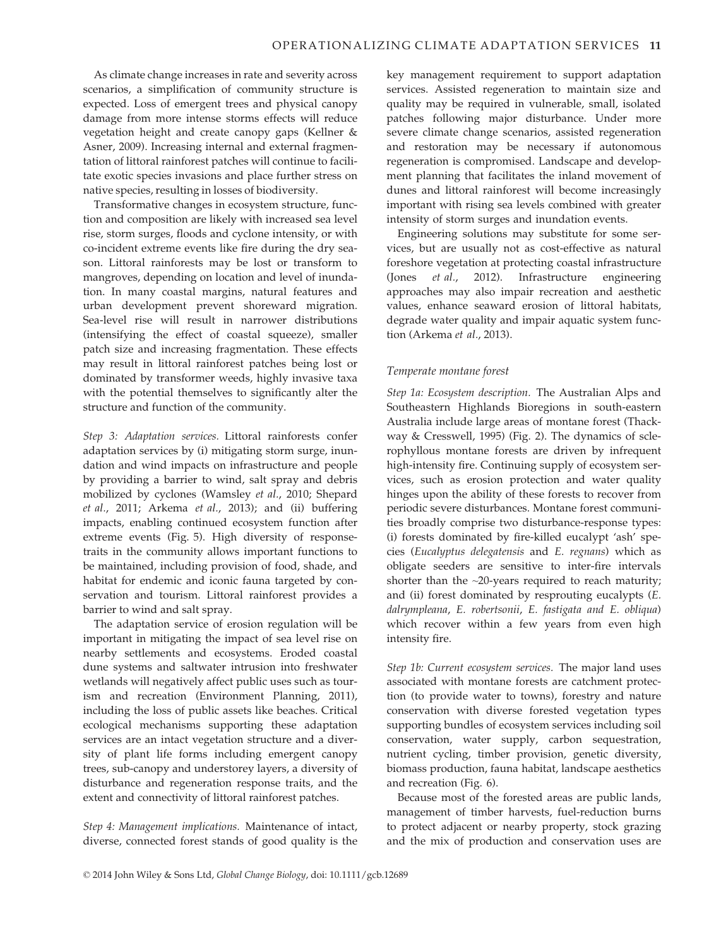As climate change increases in rate and severity across scenarios, a simplification of community structure is expected. Loss of emergent trees and physical canopy damage from more intense storms effects will reduce vegetation height and create canopy gaps (Kellner & Asner, 2009). Increasing internal and external fragmentation of littoral rainforest patches will continue to facilitate exotic species invasions and place further stress on native species, resulting in losses of biodiversity.

Transformative changes in ecosystem structure, function and composition are likely with increased sea level rise, storm surges, floods and cyclone intensity, or with co-incident extreme events like fire during the dry season. Littoral rainforests may be lost or transform to mangroves, depending on location and level of inundation. In many coastal margins, natural features and urban development prevent shoreward migration. Sea-level rise will result in narrower distributions (intensifying the effect of coastal squeeze), smaller patch size and increasing fragmentation. These effects may result in littoral rainforest patches being lost or dominated by transformer weeds, highly invasive taxa with the potential themselves to significantly alter the structure and function of the community.

Step 3: Adaptation services. Littoral rainforests confer adaptation services by (i) mitigating storm surge, inundation and wind impacts on infrastructure and people by providing a barrier to wind, salt spray and debris mobilized by cyclones (Wamsley et al., 2010; Shepard et al., 2011; Arkema et al., 2013); and (ii) buffering impacts, enabling continued ecosystem function after extreme events (Fig. 5). High diversity of responsetraits in the community allows important functions to be maintained, including provision of food, shade, and habitat for endemic and iconic fauna targeted by conservation and tourism. Littoral rainforest provides a barrier to wind and salt spray.

The adaptation service of erosion regulation will be important in mitigating the impact of sea level rise on nearby settlements and ecosystems. Eroded coastal dune systems and saltwater intrusion into freshwater wetlands will negatively affect public uses such as tourism and recreation (Environment Planning, 2011), including the loss of public assets like beaches. Critical ecological mechanisms supporting these adaptation services are an intact vegetation structure and a diversity of plant life forms including emergent canopy trees, sub-canopy and understorey layers, a diversity of disturbance and regeneration response traits, and the extent and connectivity of littoral rainforest patches.

Step 4: Management implications. Maintenance of intact, diverse, connected forest stands of good quality is the key management requirement to support adaptation services. Assisted regeneration to maintain size and quality may be required in vulnerable, small, isolated patches following major disturbance. Under more severe climate change scenarios, assisted regeneration and restoration may be necessary if autonomous regeneration is compromised. Landscape and development planning that facilitates the inland movement of dunes and littoral rainforest will become increasingly important with rising sea levels combined with greater intensity of storm surges and inundation events.

Engineering solutions may substitute for some services, but are usually not as cost-effective as natural foreshore vegetation at protecting coastal infrastructure (Jones et al., 2012). Infrastructure engineering approaches may also impair recreation and aesthetic values, enhance seaward erosion of littoral habitats, degrade water quality and impair aquatic system function (Arkema et al., 2013).

#### Temperate montane forest

Step 1a: Ecosystem description. The Australian Alps and Southeastern Highlands Bioregions in south-eastern Australia include large areas of montane forest (Thackway & Cresswell, 1995) (Fig. 2). The dynamics of sclerophyllous montane forests are driven by infrequent high-intensity fire. Continuing supply of ecosystem services, such as erosion protection and water quality hinges upon the ability of these forests to recover from periodic severe disturbances. Montane forest communities broadly comprise two disturbance-response types: (i) forests dominated by fire-killed eucalypt 'ash' species (Eucalyptus delegatensis and E. regnans) which as obligate seeders are sensitive to inter-fire intervals shorter than the ~20-years required to reach maturity; and (ii) forest dominated by resprouting eucalypts (E. dalrympleana, E. robertsonii, E. fastigata and E. obliqua) which recover within a few years from even high intensity fire.

Step 1b: Current ecosystem services. The major land uses associated with montane forests are catchment protection (to provide water to towns), forestry and nature conservation with diverse forested vegetation types supporting bundles of ecosystem services including soil conservation, water supply, carbon sequestration, nutrient cycling, timber provision, genetic diversity, biomass production, fauna habitat, landscape aesthetics and recreation (Fig. 6).

Because most of the forested areas are public lands, management of timber harvests, fuel-reduction burns to protect adjacent or nearby property, stock grazing and the mix of production and conservation uses are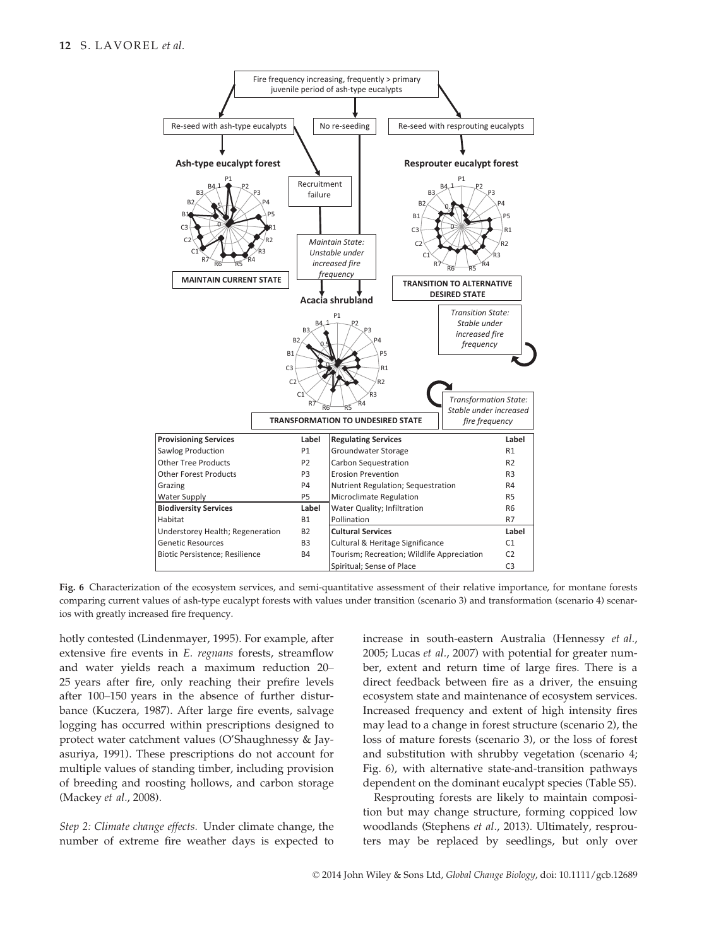![](_page_11_Figure_1.jpeg)

Fig. 6 Characterization of the ecosystem services, and semi-quantitative assessment of their relative importance, for montane forests comparing current values of ash-type eucalypt forests with values under transition (scenario 3) and transformation (scenario 4) scenarios with greatly increased fire frequency.

hotly contested (Lindenmayer, 1995). For example, after extensive fire events in E. regnans forests, streamflow and water yields reach a maximum reduction 20– 25 years after fire, only reaching their prefire levels after 100–150 years in the absence of further disturbance (Kuczera, 1987). After large fire events, salvage logging has occurred within prescriptions designed to protect water catchment values (O'Shaughnessy & Jayasuriya, 1991). These prescriptions do not account for multiple values of standing timber, including provision of breeding and roosting hollows, and carbon storage (Mackey et al., 2008).

Step 2: Climate change effects. Under climate change, the number of extreme fire weather days is expected to increase in south-eastern Australia (Hennessy et al., 2005; Lucas et al., 2007) with potential for greater number, extent and return time of large fires. There is a direct feedback between fire as a driver, the ensuing ecosystem state and maintenance of ecosystem services. Increased frequency and extent of high intensity fires may lead to a change in forest structure (scenario 2), the loss of mature forests (scenario 3), or the loss of forest and substitution with shrubby vegetation (scenario 4; Fig. 6), with alternative state-and-transition pathways dependent on the dominant eucalypt species (Table S5).

Resprouting forests are likely to maintain composition but may change structure, forming coppiced low woodlands (Stephens et al., 2013). Ultimately, resprouters may be replaced by seedlings, but only over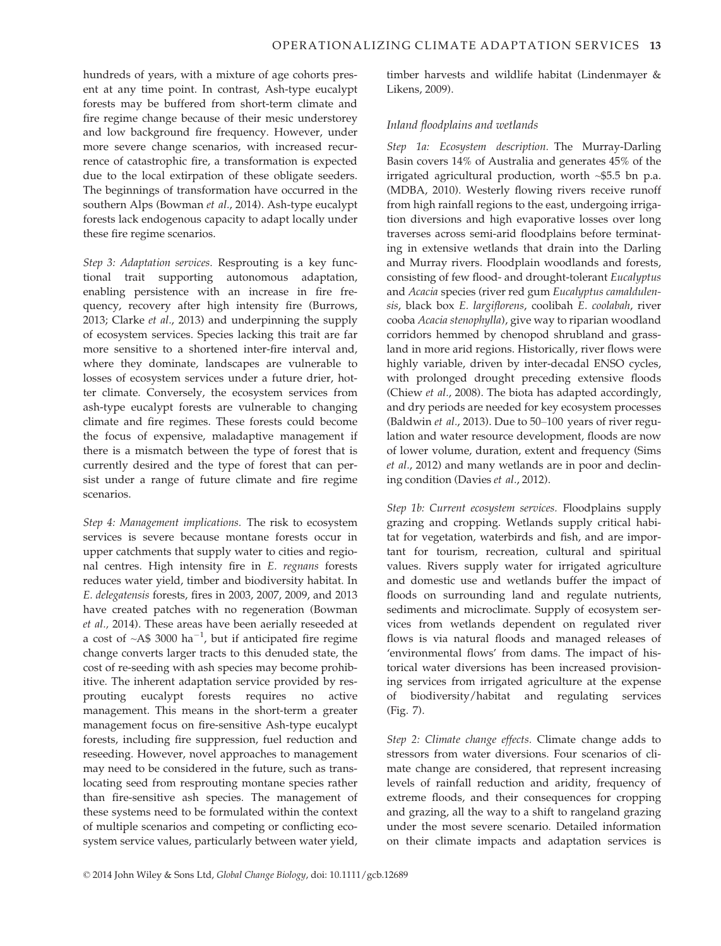hundreds of years, with a mixture of age cohorts present at any time point. In contrast, Ash-type eucalypt forests may be buffered from short-term climate and fire regime change because of their mesic understorey and low background fire frequency. However, under more severe change scenarios, with increased recurrence of catastrophic fire, a transformation is expected due to the local extirpation of these obligate seeders. The beginnings of transformation have occurred in the southern Alps (Bowman et al., 2014). Ash-type eucalypt forests lack endogenous capacity to adapt locally under these fire regime scenarios.

Step 3: Adaptation services. Resprouting is a key functional trait supporting autonomous adaptation, enabling persistence with an increase in fire frequency, recovery after high intensity fire (Burrows, 2013; Clarke et al., 2013) and underpinning the supply of ecosystem services. Species lacking this trait are far more sensitive to a shortened inter-fire interval and, where they dominate, landscapes are vulnerable to losses of ecosystem services under a future drier, hotter climate. Conversely, the ecosystem services from ash-type eucalypt forests are vulnerable to changing climate and fire regimes. These forests could become the focus of expensive, maladaptive management if there is a mismatch between the type of forest that is currently desired and the type of forest that can persist under a range of future climate and fire regime scenarios.

Step 4: Management implications. The risk to ecosystem services is severe because montane forests occur in upper catchments that supply water to cities and regional centres. High intensity fire in E. regnans forests reduces water yield, timber and biodiversity habitat. In E. delegatensis forests, fires in 2003, 2007, 2009, and 2013 have created patches with no regeneration (Bowman et al., 2014). These areas have been aerially reseeded at a cost of  $\sim$ A\$ 3000 ha<sup>-1</sup>, but if anticipated fire regime change converts larger tracts to this denuded state, the cost of re-seeding with ash species may become prohibitive. The inherent adaptation service provided by resprouting eucalypt forests requires no active management. This means in the short-term a greater management focus on fire-sensitive Ash-type eucalypt forests, including fire suppression, fuel reduction and reseeding. However, novel approaches to management may need to be considered in the future, such as translocating seed from resprouting montane species rather than fire-sensitive ash species. The management of these systems need to be formulated within the context of multiple scenarios and competing or conflicting ecosystem service values, particularly between water yield, timber harvests and wildlife habitat (Lindenmayer & Likens, 2009).

#### Inland floodplains and wetlands

Step 1a: Ecosystem description. The Murray-Darling Basin covers 14% of Australia and generates 45% of the irrigated agricultural production, worth ~\$5.5 bn p.a. (MDBA, 2010). Westerly flowing rivers receive runoff from high rainfall regions to the east, undergoing irrigation diversions and high evaporative losses over long traverses across semi-arid floodplains before terminating in extensive wetlands that drain into the Darling and Murray rivers. Floodplain woodlands and forests, consisting of few flood- and drought-tolerant Eucalyptus and Acacia species (river red gum Eucalyptus camaldulensis, black box E. largiflorens, coolibah E. coolabah, river cooba Acacia stenophylla), give way to riparian woodland corridors hemmed by chenopod shrubland and grassland in more arid regions. Historically, river flows were highly variable, driven by inter-decadal ENSO cycles, with prolonged drought preceding extensive floods (Chiew et al., 2008). The biota has adapted accordingly, and dry periods are needed for key ecosystem processes (Baldwin et al., 2013). Due to 50–100 years of river regulation and water resource development, floods are now of lower volume, duration, extent and frequency (Sims et al., 2012) and many wetlands are in poor and declining condition (Davies et al., 2012).

Step 1b: Current ecosystem services. Floodplains supply grazing and cropping. Wetlands supply critical habitat for vegetation, waterbirds and fish, and are important for tourism, recreation, cultural and spiritual values. Rivers supply water for irrigated agriculture and domestic use and wetlands buffer the impact of floods on surrounding land and regulate nutrients, sediments and microclimate. Supply of ecosystem services from wetlands dependent on regulated river flows is via natural floods and managed releases of 'environmental flows' from dams. The impact of historical water diversions has been increased provisioning services from irrigated agriculture at the expense of biodiversity/habitat and regulating services (Fig. 7).

Step 2: Climate change effects. Climate change adds to stressors from water diversions. Four scenarios of climate change are considered, that represent increasing levels of rainfall reduction and aridity, frequency of extreme floods, and their consequences for cropping and grazing, all the way to a shift to rangeland grazing under the most severe scenario. Detailed information on their climate impacts and adaptation services is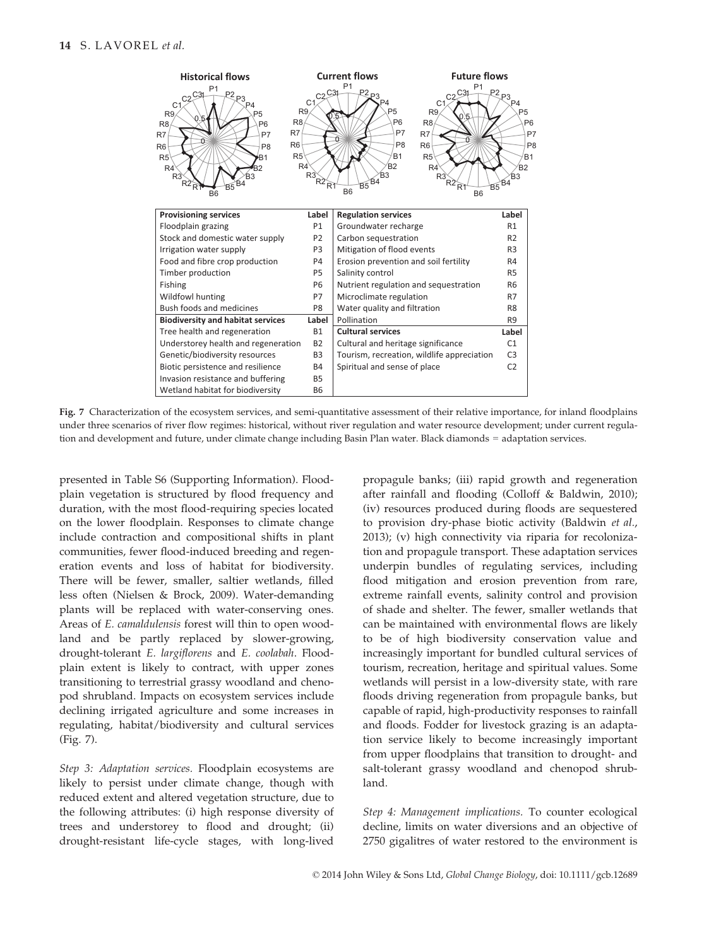![](_page_13_Figure_1.jpeg)

Fig. 7 Characterization of the ecosystem services, and semi-quantitative assessment of their relative importance, for inland floodplains under three scenarios of river flow regimes: historical, without river regulation and water resource development; under current regulation and development and future, under climate change including Basin Plan water. Black diamonds = adaptation services.

presented in Table S6 (Supporting Information). Floodplain vegetation is structured by flood frequency and duration, with the most flood-requiring species located on the lower floodplain. Responses to climate change include contraction and compositional shifts in plant communities, fewer flood-induced breeding and regeneration events and loss of habitat for biodiversity. There will be fewer, smaller, saltier wetlands, filled less often (Nielsen & Brock, 2009). Water-demanding plants will be replaced with water-conserving ones. Areas of E. camaldulensis forest will thin to open woodland and be partly replaced by slower-growing, drought-tolerant E. largiflorens and E. coolabah. Floodplain extent is likely to contract, with upper zones transitioning to terrestrial grassy woodland and chenopod shrubland. Impacts on ecosystem services include declining irrigated agriculture and some increases in regulating, habitat/biodiversity and cultural services (Fig. 7).

Step 3: Adaptation services. Floodplain ecosystems are likely to persist under climate change, though with reduced extent and altered vegetation structure, due to the following attributes: (i) high response diversity of trees and understorey to flood and drought; (ii) drought-resistant life-cycle stages, with long-lived propagule banks; (iii) rapid growth and regeneration after rainfall and flooding (Colloff & Baldwin, 2010); (iv) resources produced during floods are sequestered to provision dry-phase biotic activity (Baldwin et al., 2013); (v) high connectivity via riparia for recolonization and propagule transport. These adaptation services underpin bundles of regulating services, including flood mitigation and erosion prevention from rare, extreme rainfall events, salinity control and provision of shade and shelter. The fewer, smaller wetlands that can be maintained with environmental flows are likely to be of high biodiversity conservation value and increasingly important for bundled cultural services of tourism, recreation, heritage and spiritual values. Some wetlands will persist in a low-diversity state, with rare floods driving regeneration from propagule banks, but capable of rapid, high-productivity responses to rainfall and floods. Fodder for livestock grazing is an adaptation service likely to become increasingly important from upper floodplains that transition to drought- and salt-tolerant grassy woodland and chenopod shrubland.

Step 4: Management implications. To counter ecological decline, limits on water diversions and an objective of 2750 gigalitres of water restored to the environment is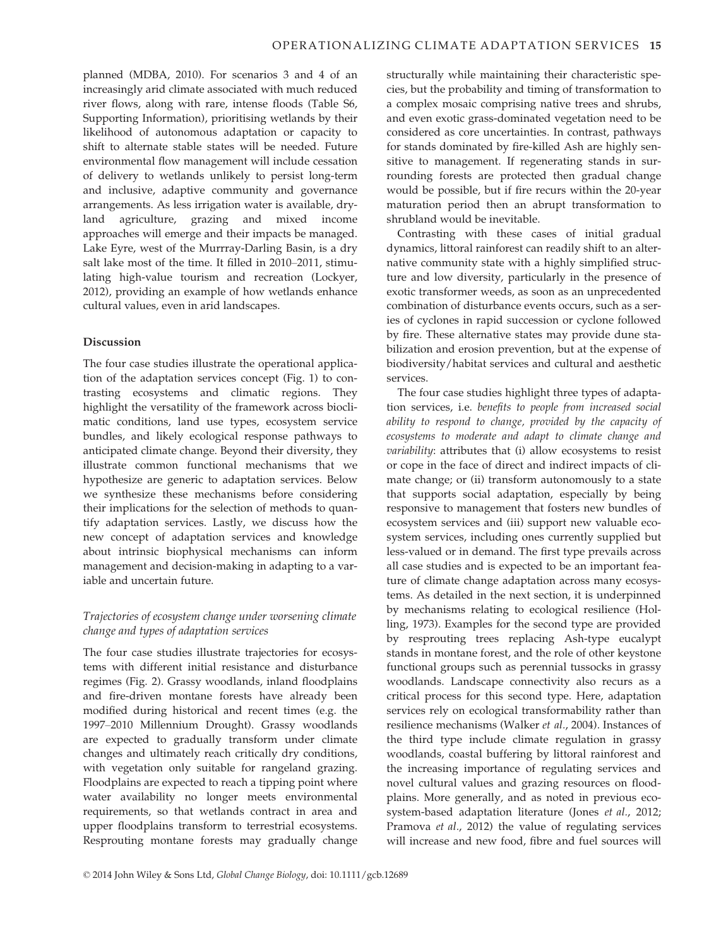planned (MDBA, 2010). For scenarios 3 and 4 of an increasingly arid climate associated with much reduced river flows, along with rare, intense floods (Table S6, Supporting Information), prioritising wetlands by their likelihood of autonomous adaptation or capacity to shift to alternate stable states will be needed. Future environmental flow management will include cessation of delivery to wetlands unlikely to persist long-term and inclusive, adaptive community and governance arrangements. As less irrigation water is available, dryland agriculture, grazing and mixed income approaches will emerge and their impacts be managed. Lake Eyre, west of the Murrray-Darling Basin, is a dry salt lake most of the time. It filled in 2010–2011, stimulating high-value tourism and recreation (Lockyer, 2012), providing an example of how wetlands enhance cultural values, even in arid landscapes.

#### Discussion

The four case studies illustrate the operational application of the adaptation services concept (Fig. 1) to contrasting ecosystems and climatic regions. They highlight the versatility of the framework across bioclimatic conditions, land use types, ecosystem service bundles, and likely ecological response pathways to anticipated climate change. Beyond their diversity, they illustrate common functional mechanisms that we hypothesize are generic to adaptation services. Below we synthesize these mechanisms before considering their implications for the selection of methods to quantify adaptation services. Lastly, we discuss how the new concept of adaptation services and knowledge about intrinsic biophysical mechanisms can inform management and decision-making in adapting to a variable and uncertain future.

# Trajectories of ecosystem change under worsening climate change and types of adaptation services

The four case studies illustrate trajectories for ecosystems with different initial resistance and disturbance regimes (Fig. 2). Grassy woodlands, inland floodplains and fire-driven montane forests have already been modified during historical and recent times (e.g. the 1997–2010 Millennium Drought). Grassy woodlands are expected to gradually transform under climate changes and ultimately reach critically dry conditions, with vegetation only suitable for rangeland grazing. Floodplains are expected to reach a tipping point where water availability no longer meets environmental requirements, so that wetlands contract in area and upper floodplains transform to terrestrial ecosystems. Resprouting montane forests may gradually change structurally while maintaining their characteristic species, but the probability and timing of transformation to a complex mosaic comprising native trees and shrubs, and even exotic grass-dominated vegetation need to be considered as core uncertainties. In contrast, pathways for stands dominated by fire-killed Ash are highly sensitive to management. If regenerating stands in surrounding forests are protected then gradual change would be possible, but if fire recurs within the 20-year maturation period then an abrupt transformation to shrubland would be inevitable.

Contrasting with these cases of initial gradual dynamics, littoral rainforest can readily shift to an alternative community state with a highly simplified structure and low diversity, particularly in the presence of exotic transformer weeds, as soon as an unprecedented combination of disturbance events occurs, such as a series of cyclones in rapid succession or cyclone followed by fire. These alternative states may provide dune stabilization and erosion prevention, but at the expense of biodiversity/habitat services and cultural and aesthetic services.

The four case studies highlight three types of adaptation services, i.e. benefits to people from increased social ability to respond to change, provided by the capacity of ecosystems to moderate and adapt to climate change and variability: attributes that (i) allow ecosystems to resist or cope in the face of direct and indirect impacts of climate change; or (ii) transform autonomously to a state that supports social adaptation, especially by being responsive to management that fosters new bundles of ecosystem services and (iii) support new valuable ecosystem services, including ones currently supplied but less-valued or in demand. The first type prevails across all case studies and is expected to be an important feature of climate change adaptation across many ecosystems. As detailed in the next section, it is underpinned by mechanisms relating to ecological resilience (Holling, 1973). Examples for the second type are provided by resprouting trees replacing Ash-type eucalypt stands in montane forest, and the role of other keystone functional groups such as perennial tussocks in grassy woodlands. Landscape connectivity also recurs as a critical process for this second type. Here, adaptation services rely on ecological transformability rather than resilience mechanisms (Walker et al., 2004). Instances of the third type include climate regulation in grassy woodlands, coastal buffering by littoral rainforest and the increasing importance of regulating services and novel cultural values and grazing resources on floodplains. More generally, and as noted in previous ecosystem-based adaptation literature (Jones et al., 2012; Pramova et al., 2012) the value of regulating services will increase and new food, fibre and fuel sources will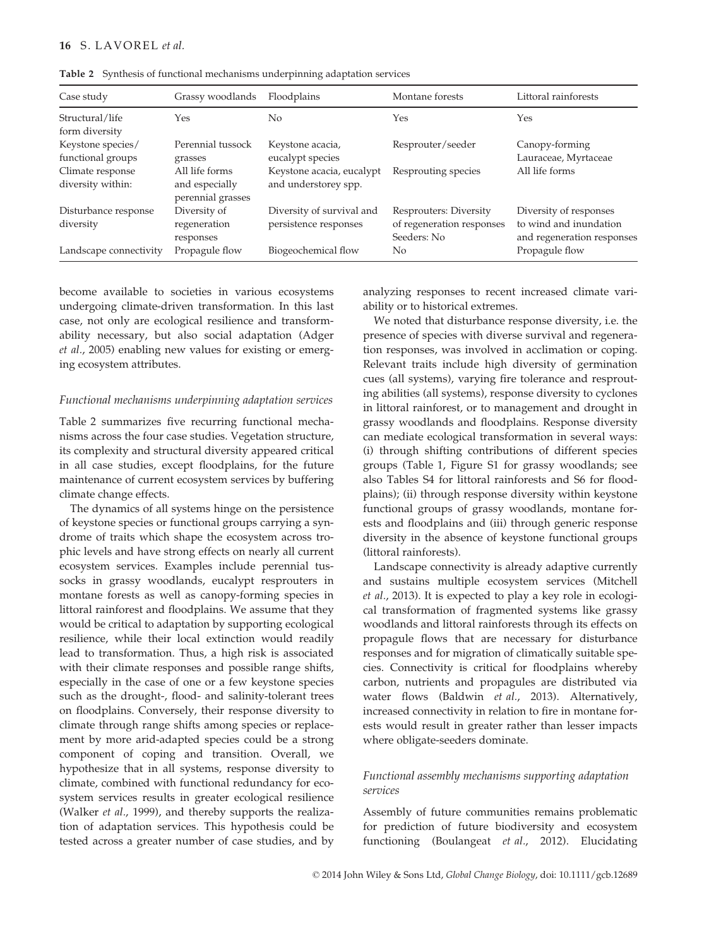## 16 S. LAVOREL et al.

| Case study                             | Grassy woodlands                                      | Floodplains                                        | Montane forests                                                    | Littoral rainforests                                                           |
|----------------------------------------|-------------------------------------------------------|----------------------------------------------------|--------------------------------------------------------------------|--------------------------------------------------------------------------------|
| Structural/life<br>form diversity      | Yes                                                   | No.                                                | Yes                                                                | Yes                                                                            |
| Keystone species/<br>functional groups | Perennial tussock<br>grasses                          | Keystone acacia,<br>eucalypt species               | Resprouter/seeder                                                  | Canopy-forming<br>Lauraceae, Myrtaceae                                         |
| Climate response<br>diversity within:  | All life forms<br>and especially<br>perennial grasses | Keystone acacia, eucalypt<br>and understorey spp.  | Resprouting species                                                | All life forms                                                                 |
| Disturbance response<br>diversity      | Diversity of<br>regeneration<br>responses             | Diversity of survival and<br>persistence responses | Resprouters: Diversity<br>of regeneration responses<br>Seeders: No | Diversity of responses<br>to wind and inundation<br>and regeneration responses |
| Landscape connectivity                 | Propagule flow                                        | Biogeochemical flow                                | N <sub>o</sub>                                                     | Propagule flow                                                                 |

Table 2 Synthesis of functional mechanisms underpinning adaptation services

become available to societies in various ecosystems undergoing climate-driven transformation. In this last case, not only are ecological resilience and transformability necessary, but also social adaptation (Adger et al., 2005) enabling new values for existing or emerging ecosystem attributes.

#### Functional mechanisms underpinning adaptation services

Table 2 summarizes five recurring functional mechanisms across the four case studies. Vegetation structure, its complexity and structural diversity appeared critical in all case studies, except floodplains, for the future maintenance of current ecosystem services by buffering climate change effects.

The dynamics of all systems hinge on the persistence of keystone species or functional groups carrying a syndrome of traits which shape the ecosystem across trophic levels and have strong effects on nearly all current ecosystem services. Examples include perennial tussocks in grassy woodlands, eucalypt resprouters in montane forests as well as canopy-forming species in littoral rainforest and floodplains. We assume that they would be critical to adaptation by supporting ecological resilience, while their local extinction would readily lead to transformation. Thus, a high risk is associated with their climate responses and possible range shifts, especially in the case of one or a few keystone species such as the drought-, flood- and salinity-tolerant trees on floodplains. Conversely, their response diversity to climate through range shifts among species or replacement by more arid-adapted species could be a strong component of coping and transition. Overall, we hypothesize that in all systems, response diversity to climate, combined with functional redundancy for ecosystem services results in greater ecological resilience (Walker et al., 1999), and thereby supports the realization of adaptation services. This hypothesis could be tested across a greater number of case studies, and by analyzing responses to recent increased climate variability or to historical extremes.

We noted that disturbance response diversity, i.e. the presence of species with diverse survival and regeneration responses, was involved in acclimation or coping. Relevant traits include high diversity of germination cues (all systems), varying fire tolerance and resprouting abilities (all systems), response diversity to cyclones in littoral rainforest, or to management and drought in grassy woodlands and floodplains. Response diversity can mediate ecological transformation in several ways: (i) through shifting contributions of different species groups (Table 1, Figure S1 for grassy woodlands; see also Tables S4 for littoral rainforests and S6 for floodplains); (ii) through response diversity within keystone functional groups of grassy woodlands, montane forests and floodplains and (iii) through generic response diversity in the absence of keystone functional groups (littoral rainforests).

Landscape connectivity is already adaptive currently and sustains multiple ecosystem services (Mitchell et al., 2013). It is expected to play a key role in ecological transformation of fragmented systems like grassy woodlands and littoral rainforests through its effects on propagule flows that are necessary for disturbance responses and for migration of climatically suitable species. Connectivity is critical for floodplains whereby carbon, nutrients and propagules are distributed via water flows (Baldwin et al., 2013). Alternatively, increased connectivity in relation to fire in montane forests would result in greater rather than lesser impacts where obligate-seeders dominate.

# Functional assembly mechanisms supporting adaptation services

Assembly of future communities remains problematic for prediction of future biodiversity and ecosystem functioning (Boulangeat et al., 2012). Elucidating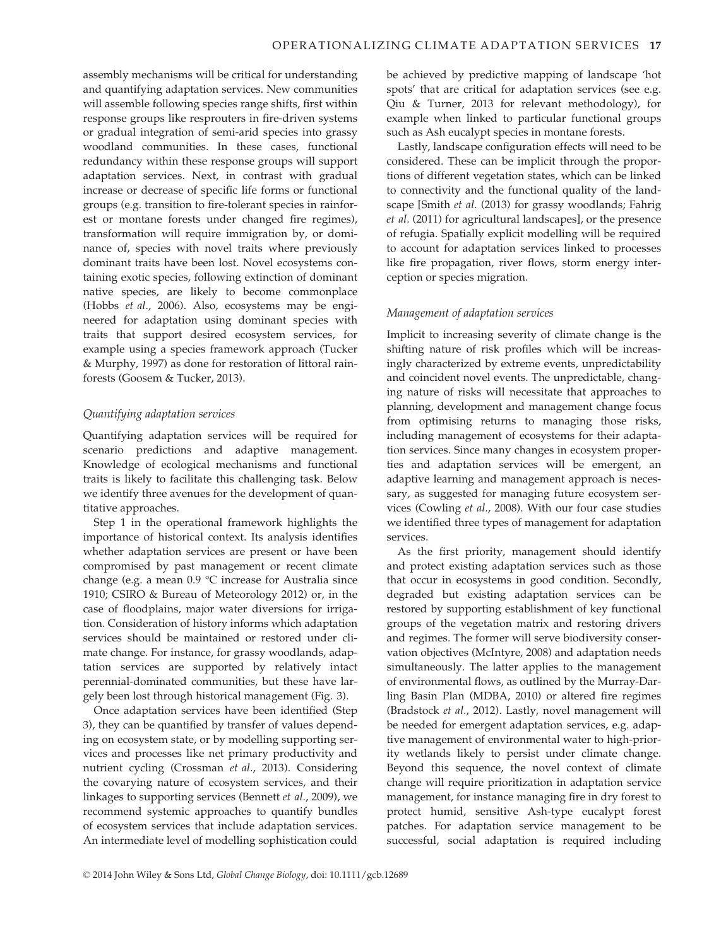assembly mechanisms will be critical for understanding and quantifying adaptation services. New communities will assemble following species range shifts, first within response groups like resprouters in fire-driven systems or gradual integration of semi-arid species into grassy woodland communities. In these cases, functional redundancy within these response groups will support adaptation services. Next, in contrast with gradual increase or decrease of specific life forms or functional groups (e.g. transition to fire-tolerant species in rainforest or montane forests under changed fire regimes), transformation will require immigration by, or dominance of, species with novel traits where previously dominant traits have been lost. Novel ecosystems containing exotic species, following extinction of dominant native species, are likely to become commonplace (Hobbs et al., 2006). Also, ecosystems may be engineered for adaptation using dominant species with traits that support desired ecosystem services, for example using a species framework approach (Tucker & Murphy, 1997) as done for restoration of littoral rainforests (Goosem & Tucker, 2013).

#### Quantifying adaptation services

Quantifying adaptation services will be required for scenario predictions and adaptive management. Knowledge of ecological mechanisms and functional traits is likely to facilitate this challenging task. Below we identify three avenues for the development of quantitative approaches.

Step 1 in the operational framework highlights the importance of historical context. Its analysis identifies whether adaptation services are present or have been compromised by past management or recent climate change (e.g. a mean 0.9 °C increase for Australia since 1910; CSIRO & Bureau of Meteorology 2012) or, in the case of floodplains, major water diversions for irrigation. Consideration of history informs which adaptation services should be maintained or restored under climate change. For instance, for grassy woodlands, adaptation services are supported by relatively intact perennial-dominated communities, but these have largely been lost through historical management (Fig. 3).

Once adaptation services have been identified (Step 3), they can be quantified by transfer of values depending on ecosystem state, or by modelling supporting services and processes like net primary productivity and nutrient cycling (Crossman et al., 2013). Considering the covarying nature of ecosystem services, and their linkages to supporting services (Bennett et al., 2009), we recommend systemic approaches to quantify bundles of ecosystem services that include adaptation services. An intermediate level of modelling sophistication could be achieved by predictive mapping of landscape 'hot spots' that are critical for adaptation services (see e.g. Qiu & Turner, 2013 for relevant methodology), for example when linked to particular functional groups such as Ash eucalypt species in montane forests.

Lastly, landscape configuration effects will need to be considered. These can be implicit through the proportions of different vegetation states, which can be linked to connectivity and the functional quality of the landscape [Smith et al. (2013) for grassy woodlands; Fahrig et al. (2011) for agricultural landscapes], or the presence of refugia. Spatially explicit modelling will be required to account for adaptation services linked to processes like fire propagation, river flows, storm energy interception or species migration.

#### Management of adaptation services

Implicit to increasing severity of climate change is the shifting nature of risk profiles which will be increasingly characterized by extreme events, unpredictability and coincident novel events. The unpredictable, changing nature of risks will necessitate that approaches to planning, development and management change focus from optimising returns to managing those risks, including management of ecosystems for their adaptation services. Since many changes in ecosystem properties and adaptation services will be emergent, an adaptive learning and management approach is necessary, as suggested for managing future ecosystem services (Cowling et al., 2008). With our four case studies we identified three types of management for adaptation services.

As the first priority, management should identify and protect existing adaptation services such as those that occur in ecosystems in good condition. Secondly, degraded but existing adaptation services can be restored by supporting establishment of key functional groups of the vegetation matrix and restoring drivers and regimes. The former will serve biodiversity conservation objectives (McIntyre, 2008) and adaptation needs simultaneously. The latter applies to the management of environmental flows, as outlined by the Murray-Darling Basin Plan (MDBA, 2010) or altered fire regimes (Bradstock et al., 2012). Lastly, novel management will be needed for emergent adaptation services, e.g. adaptive management of environmental water to high-priority wetlands likely to persist under climate change. Beyond this sequence, the novel context of climate change will require prioritization in adaptation service management, for instance managing fire in dry forest to protect humid, sensitive Ash-type eucalypt forest patches. For adaptation service management to be successful, social adaptation is required including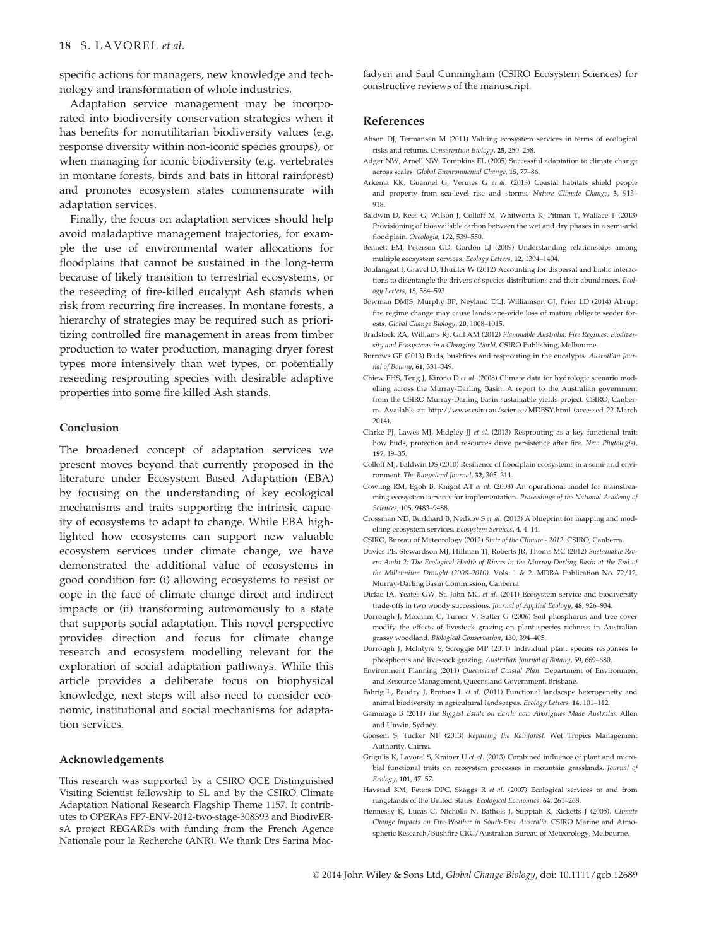specific actions for managers, new knowledge and technology and transformation of whole industries.

Adaptation service management may be incorporated into biodiversity conservation strategies when it has benefits for nonutilitarian biodiversity values (e.g. response diversity within non-iconic species groups), or when managing for iconic biodiversity (e.g. vertebrates in montane forests, birds and bats in littoral rainforest) and promotes ecosystem states commensurate with adaptation services.

Finally, the focus on adaptation services should help avoid maladaptive management trajectories, for example the use of environmental water allocations for floodplains that cannot be sustained in the long-term because of likely transition to terrestrial ecosystems, or the reseeding of fire-killed eucalypt Ash stands when risk from recurring fire increases. In montane forests, a hierarchy of strategies may be required such as prioritizing controlled fire management in areas from timber production to water production, managing dryer forest types more intensively than wet types, or potentially reseeding resprouting species with desirable adaptive properties into some fire killed Ash stands.

#### Conclusion

The broadened concept of adaptation services we present moves beyond that currently proposed in the literature under Ecosystem Based Adaptation (EBA) by focusing on the understanding of key ecological mechanisms and traits supporting the intrinsic capacity of ecosystems to adapt to change. While EBA highlighted how ecosystems can support new valuable ecosystem services under climate change, we have demonstrated the additional value of ecosystems in good condition for: (i) allowing ecosystems to resist or cope in the face of climate change direct and indirect impacts or (ii) transforming autonomously to a state that supports social adaptation. This novel perspective provides direction and focus for climate change research and ecosystem modelling relevant for the exploration of social adaptation pathways. While this article provides a deliberate focus on biophysical knowledge, next steps will also need to consider economic, institutional and social mechanisms for adaptation services.

#### Acknowledgements

This research was supported by a CSIRO OCE Distinguished Visiting Scientist fellowship to SL and by the CSIRO Climate Adaptation National Research Flagship Theme 1157. It contributes to OPERAs FP7-ENV-2012-two-stage-308393 and BiodivERsA project REGARDs with funding from the French Agence Nationale pour la Recherche (ANR). We thank Drs Sarina Macfadyen and Saul Cunningham (CSIRO Ecosystem Sciences) for constructive reviews of the manuscript.

## References

- Abson DJ, Termansen M (2011) Valuing ecosystem services in terms of ecological risks and returns. Conservation Biology, 25, 250–258.
- Adger NW, Arnell NW, Tompkins EL (2005) Successful adaptation to climate change across scales. Global Environmental Change, 15, 77–86.
- Arkema KK, Guannel G, Verutes G et al. (2013) Coastal habitats shield people and property from sea-level rise and storms. Nature Climate Change, 3, 913– 918.
- Baldwin D, Rees G, Wilson J, Colloff M, Whitworth K, Pitman T, Wallace T (2013) Provisioning of bioavailable carbon between the wet and dry phases in a semi-arid floodplain. Oecologia, 172, 539–550.
- Bennett EM, Peterson GD, Gordon LJ (2009) Understanding relationships among multiple ecosystem services. Ecology Letters, 12, 1394–1404.
- Boulangeat I, Gravel D, Thuiller W (2012) Accounting for dispersal and biotic interactions to disentangle the drivers of species distributions and their abundances. Ecology Letters, 15, 584–593.
- Bowman DMJS, Murphy BP, Neyland DLJ, Williamson GJ, Prior LD (2014) Abrupt fire regime change may cause landscape-wide loss of mature obligate seeder forests. Global Change Biology, 20, 1008–1015.
- Bradstock RA, Williams RJ, Gill AM (2012) Flammable Australia: Fire Regimes, Biodiversity and Ecosystems in a Changing World. CSIRO Publishing, Melbourne.
- Burrows GE (2013) Buds, bushfires and resprouting in the eucalypts. Australian Journal of Botany, 61, 331–349.
- Chiew FHS, Teng J, Kirono D et al. (2008) Climate data for hydrologic scenario modelling across the Murray-Darling Basin. A report to the Australian government from the CSIRO Murray-Darling Basin sustainable yields project. CSIRO, Canberra. Available at: http://www.csiro.au/science/MDBSY.html (accessed 22 March 2014).
- Clarke PJ, Lawes MJ, Midgley JJ et al. (2013) Resprouting as a key functional trait: how buds, protection and resources drive persistence after fire. New Phytologist, 197, 19–35.
- Colloff MJ, Baldwin DS (2010) Resilience of floodplain ecosystems in a semi-arid environment. The Rangeland Journal, 32, 305–314.
- Cowling RM, Egoh B, Knight AT et al. (2008) An operational model for mainstreaming ecosystem services for implementation. Proceedings of the National Academy of Sciences, 105, 9483–9488.
- Crossman ND, Burkhard B, Nedkov S et al. (2013) A blueprint for mapping and modelling ecosystem services. Ecosystem Services, 4, 4–14.
- CSIRO, Bureau of Meteorology (2012) State of the Climate 2012. CSIRO, Canberra.
- Davies PE, Stewardson MJ, Hillman TJ, Roberts JR, Thoms MC (2012) Sustainable Rivers Audit 2: The Ecological Health of Rivers in the Murray-Darling Basin at the End of the Millennium Drought (2008–2010). Vols. 1 & 2. MDBA Publication No. 72/12, Murray-Darling Basin Commission, Canberra.
- Dickie IA, Yeates GW, St. John MG et al. (2011) Ecosystem service and biodiversity trade-offs in two woody successions. Journal of Applied Ecology, 48, 926–934.
- Dorrough J, Moxham C, Turner V, Sutter G (2006) Soil phosphorus and tree cover modify the effects of livestock grazing on plant species richness in Australian grassy woodland. Biological Conservation, 130, 394–405.
- Dorrough J, McIntyre S, Scroggie MP (2011) Individual plant species responses to phosphorus and livestock grazing. Australian Journal of Botany, 59, 669–680.
- Environment Planning (2011) Queensland Coastal Plan. Department of Environment and Resource Management, Queensland Government, Brisbane.
- Fahrig L, Baudry J, Brotons L et al. (2011) Functional landscape heterogeneity and animal biodiversity in agricultural landscapes. Ecology Letters, 14, 101–112.
- Gammage B (2011) The Biggest Estate on Earth: how Aborigines Made Australia. Allen and Unwin, Sydney.
- Goosem S, Tucker NIJ (2013) Repairing the Rainforest. Wet Tropics Management Authority, Cairns.
- Grigulis K, Lavorel S, Krainer U et al. (2013) Combined influence of plant and microbial functional traits on ecosystem processes in mountain grasslands. Journal of Ecology, 101, 47–57.
- Havstad KM, Peters DPC, Skaggs R et al. (2007) Ecological services to and from rangelands of the United States. Ecological Economics, 64, 261–268.
- Hennessy K, Lucas C, Nicholls N, Bathols J, Suppiah R, Ricketts J (2005). Climate Change Impacts on Fire-Weather in South-East Australia. CSIRO Marine and Atmospheric Research/Bushfire CRC/Australian Bureau of Meteorology, Melbourne.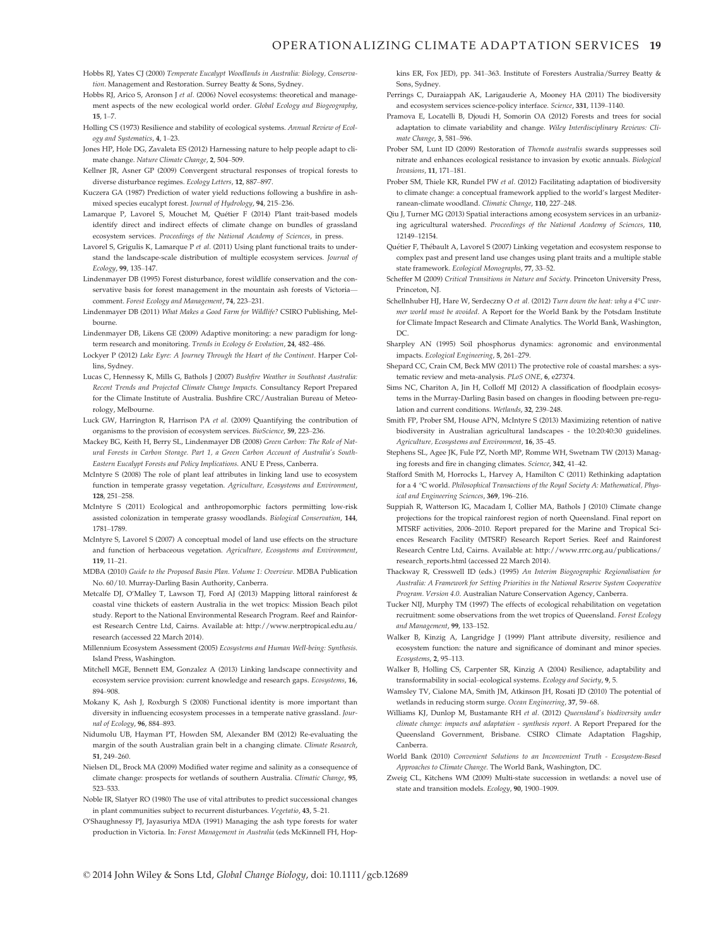- Hobbs RJ, Yates CJ (2000) Temperate Eucalypt Woodlands in Australia: Biology, Conservation. Management and Restoration. Surrey Beatty & Sons, Sydney.
- Hobbs RJ, Arico S, Aronson J et al. (2006) Novel ecosystems: theoretical and management aspects of the new ecological world order. Global Ecology and Biogeography, 15, 1–7.
- Holling CS (1973) Resilience and stability of ecological systems. Annual Review of Ecology and Systematics, 4, 1–23.
- Jones HP, Hole DG, Zavaleta ES (2012) Harnessing nature to help people adapt to climate change. Nature Climate Change, 2, 504–509.
- Kellner JR, Asner GP (2009) Convergent structural responses of tropical forests to diverse disturbance regimes. Ecology Letters, 12, 887–897.
- Kuczera GA (1987) Prediction of water yield reductions following a bushfire in ashmixed species eucalypt forest. Journal of Hydrology, 94, 215–236.
- Lamarque P, Lavorel S, Mouchet M, Quétier F (2014) Plant trait-based models identify direct and indirect effects of climate change on bundles of grassland ecosystem services. Proceedings of the National Academy of Sciences, in press.
- Lavorel S, Grigulis K, Lamarque P et al. (2011) Using plant functional traits to understand the landscape-scale distribution of multiple ecosystem services. Journal of Ecology, 99, 135–147.
- Lindenmayer DB (1995) Forest disturbance, forest wildlife conservation and the conservative basis for forest management in the mountain ash forests of Victoria comment. Forest Ecology and Management, 74, 223–231.
- Lindenmayer DB (2011) What Makes a Good Farm for Wildlife? CSIRO Publishing, Melbourne.
- Lindenmayer DB, Likens GE (2009) Adaptive monitoring: a new paradigm for longterm research and monitoring. Trends in Ecology & Evolution, 24, 482-486.
- Lockyer P (2012) Lake Eyre: A Journey Through the Heart of the Continent. Harper Collins, Sydney.
- Lucas C, Hennessy K, Mills G, Bathols J (2007) Bushfire Weather in Southeast Australia: Recent Trends and Projected Climate Change Impacts. Consultancy Report Prepared for the Climate Institute of Australia. Bushfire CRC/Australian Bureau of Meteorology, Melbourne.
- Luck GW, Harrington R, Harrison PA et al. (2009) Quantifying the contribution of organisms to the provision of ecosystem services. BioScience, 59, 223–236.
- Mackey BG, Keith H, Berry SL, Lindenmayer DB (2008) Green Carbon: The Role of Natural Forests in Carbon Storage. Part 1, a Green Carbon Account of Australia's South-Eastern Eucalypt Forests and Policy Implications. ANU E Press, Canberra.
- McIntyre S (2008) The role of plant leaf attributes in linking land use to ecosystem function in temperate grassy vegetation. Agriculture, Ecosystems and Environment, 128, 251–258.
- McIntyre S (2011) Ecological and anthropomorphic factors permitting low-risk assisted colonization in temperate grassy woodlands. Biological Conservation, 144, 1781–1789.
- McIntyre S, Lavorel S (2007) A conceptual model of land use effects on the structure and function of herbaceous vegetation. Agriculture, Ecosystems and Environment, 119, 11–21.
- MDBA (2010) Guide to the Proposed Basin Plan. Volume 1: Overview. MDBA Publication No. 60/10. Murray-Darling Basin Authority, Canberra.
- Metcalfe DJ, O'Malley T, Lawson TJ, Ford AJ (2013) Mapping littoral rainforest & coastal vine thickets of eastern Australia in the wet tropics: Mission Beach pilot study. Report to the National Environmental Research Program. Reef and Rainforest Research Centre Ltd, Cairns. Available at: http://www.nerptropical.edu.au/ research (accessed 22 March 2014).
- Millennium Ecosystem Assessment (2005) Ecosystems and Human Well-being: Synthesis. Island Press, Washington.
- Mitchell MGE, Bennett EM, Gonzalez A (2013) Linking landscape connectivity and ecosystem service provision: current knowledge and research gaps. Ecosystems, 16, 894–908.
- Mokany K, Ash J, Roxburgh S (2008) Functional identity is more important than diversity in influencing ecosystem processes in a temperate native grassland. Journal of Ecology, 96, 884–893.
- Nidumolu UB, Hayman PT, Howden SM, Alexander BM (2012) Re-evaluating the margin of the south Australian grain belt in a changing climate. Climate Research, 51, 249–260.
- Nielsen DL, Brock MA (2009) Modified water regime and salinity as a consequence of climate change: prospects for wetlands of southern Australia. Climatic Change, 95, 523–533.
- Noble IR, Slatyer RO (1980) The use of vital attributes to predict successional changes in plant communities subject to recurrent disturbances. Vegetatio, 43, 5–21.
- O'Shaughnessy PJ, Jayasuriya MDA (1991) Managing the ash type forests for water production in Victoria. In: Forest Management in Australia (eds McKinnell FH, Hop-

kins ER, Fox JED), pp. 341–363. Institute of Foresters Australia/Surrey Beatty & Sons, Sydney.

- Perrings C, Duraiappah AK, Larigauderie A, Mooney HA (2011) The biodiversity and ecosystem services science-policy interface. Science, 331, 1139–1140.
- Pramova E, Locatelli B, Djoudi H, Somorin OA (2012) Forests and trees for social adaptation to climate variability and change. Wiley Interdisciplinary Reviews: Climate Change, 3, 581–596.
- Prober SM, Lunt ID (2009) Restoration of Themeda australis swards suppresses soil nitrate and enhances ecological resistance to invasion by exotic annuals. Biological Invasions, 11, 171–181.
- Prober SM, Thiele KR, Rundel PW et al. (2012) Facilitating adaptation of biodiversity to climate change: a conceptual framework applied to the world's largest Mediterranean-climate woodland. Climatic Change, 110, 227–248.
- Qiu J, Turner MG (2013) Spatial interactions among ecosystem services in an urbanizing agricultural watershed. Proceedings of the National Academy of Sciences, 110, 12149–12154.
- Quétier F, Thébault A, Lavorel S (2007) Linking vegetation and ecosystem response to complex past and present land use changes using plant traits and a multiple stable state framework. Ecological Monographs, 77, 33–52.
- Scheffer M (2009) Critical Transitions in Nature and Society. Princeton University Press, Princeton, NJ.
- Schellnhuber HJ, Hare W, Serdeczny O et al. (2012) Turn down the heat: why a  $4^{\circ}$ C warmer world must be avoided. A Report for the World Bank by the Potsdam Institute for Climate Impact Research and Climate Analytics. The World Bank, Washington, DC.
- Sharpley AN (1995) Soil phosphorus dynamics: agronomic and environmental impacts. Ecological Engineering, 5, 261–279.
- Shepard CC, Crain CM, Beck MW (2011) The protective role of coastal marshes: a systematic review and meta-analysis. PLoS ONE, 6, e27374.
- Sims NC, Chariton A, Jin H, Colloff MJ (2012) A classification of floodplain ecosystems in the Murray-Darling Basin based on changes in flooding between pre-regulation and current conditions. Wetlands, 32, 239–248.
- Smith FP, Prober SM, House APN, McIntyre S (2013) Maximizing retention of native biodiversity in Australian agricultural landscapes - the 10:20:40:30 guidelines. Agriculture, Ecosystems and Environment, 16, 35–45.
- Stephens SL, Agee JK, Fule PZ, North MP, Romme WH, Swetnam TW (2013) Managing forests and fire in changing climates. Science, 342, 41–42.
- Stafford Smith M, Horrocks L, Harvey A, Hamilton C (2011) Rethinking adaptation for a 4 °C world. Philosophical Transactions of the Royal Society A: Mathematical, Physical and Engineering Sciences, 369, 196–216.
- Suppiah R, Watterson IG, Macadam I, Collier MA, Bathols J (2010) Climate change projections for the tropical rainforest region of north Queensland. Final report on MTSRF activities, 2006–2010. Report prepared for the Marine and Tropical Sciences Research Facility (MTSRF) Research Report Series. Reef and Rainforest Research Centre Ltd, Cairns. Available at: http://www.rrrc.org.au/publications/ research\_reports.html (accessed 22 March 2014).
- Thackway R, Cresswell ID (eds.) (1995) An Interim Biogeographic Regionalisation for Australia: A Framework for Setting Priorities in the National Reserve System Cooperative Program. Version 4.0. Australian Nature Conservation Agency, Canberra.
- Tucker NIJ, Murphy TM (1997) The effects of ecological rehabilitation on vegetation recruitment: some observations from the wet tropics of Queensland. Forest Ecology and Management, 99, 133–152.
- Walker B, Kinzig A, Langridge J (1999) Plant attribute diversity, resilience and ecosystem function: the nature and significance of dominant and minor species. Ecosystems, 2, 95–113.
- Walker B, Holling CS, Carpenter SR, Kinzig A (2004) Resilience, adaptability and transformability in social–ecological systems. Ecology and Society, 9, 5.
- Wamsley TV, Cialone MA, Smith JM, Atkinson JH, Rosati JD (2010) The potential of wetlands in reducing storm surge. Ocean Engineering, 37, 59–68.
- Williams KJ, Dunlop M, Bustamante RH et al. (2012) Queensland's biodiversity under climate change: impacts and adaptation - synthesis report. A Report Prepared for the Queensland Government, Brisbane. CSIRO Climate Adaptation Flagship, Canberra.
- World Bank (2010) Convenient Solutions to an Inconvenient Truth Ecosystem-Based Approaches to Climate Change. The World Bank, Washington, DC.
- Zweig CL, Kitchens WM (2009) Multi-state succession in wetlands: a novel use of state and transition models. Ecology, 90, 1900–1909.